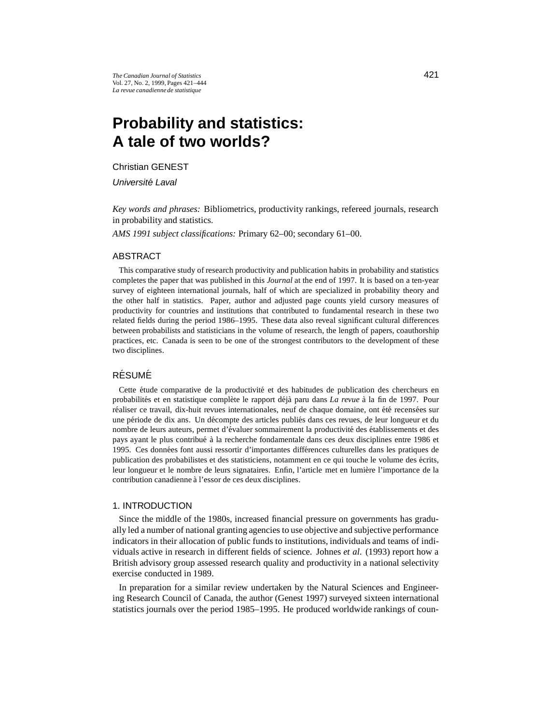# **Probability and statistics: A tale of two worlds?**

Christian GENEST

Université Laval

*Key words and phrases:* Bibliometrics, productivity rankings, refereed journals, research in probability and statistics.

*AMS 1991 subject classifications:* Primary 62–00; secondary 61–00.

### ABSTRACT

This comparative study of research productivity and publication habits in probability and statistics completes the paper that was published in this *Journal* at the end of 1997. It is based on a ten-year survey of eighteen international journals, half of which are specialized in probability theory and the other half in statistics. Paper, author and adjusted page counts yield cursory measures of productivity for countries and institutions that contributed to fundamental research in these two related fields during the period 1986–1995. These data also reveal significant cultural differences between probabilists and statisticians in the volume of research, the length of papers, coauthorship practices, etc. Canada is seen to be one of the strongest contributors to the development of these two disciplines.

## **RÉSUMÉ**

Cette étude comparative de la productivité et des habitudes de publication des chercheurs en probabilités et en statistique complète le rapport déjà paru dans *La revue* à la fin de 1997. Pour réaliser ce travail, dix-huit revues internationales, neuf de chaque domaine, ont été recensées sur une période de dix ans. Un décompte des articles publiés dans ces revues, de leur longueur et du nombre de leurs auteurs, permet d'évaluer sommairement la productivité des établissements et des pays ayant le plus contribue´ a` la recherche fondamentale dans ces deux disciplines entre 1986 et 1995. Ces données font aussi ressortir d'importantes différences culturelles dans les pratiques de publication des probabilistes et des statisticiens, notamment en ce qui touche le volume des ecrits, ´ leur longueur et le nombre de leurs signataires. Enfin, l'article met en lumière l'importance de la contribution canadienne à l'essor de ces deux disciplines.

### 1. INTRODUCTION

Since the middle of the 1980s, increased financial pressure on governments has gradually led a number of national granting agencies to use objective and subjective performance indicators in their allocation of public funds to institutions, individuals and teams of individuals active in research in different fields of science. Johnes *et al.* (1993) report how a British advisory group assessed research quality and productivity in a national selectivity exercise conducted in 1989.

In preparation for a similar review undertaken by the Natural Sciences and Engineering Research Council of Canada, the author (Genest 1997) surveyed sixteen international statistics journals over the period 1985–1995. He produced worldwide rankings of coun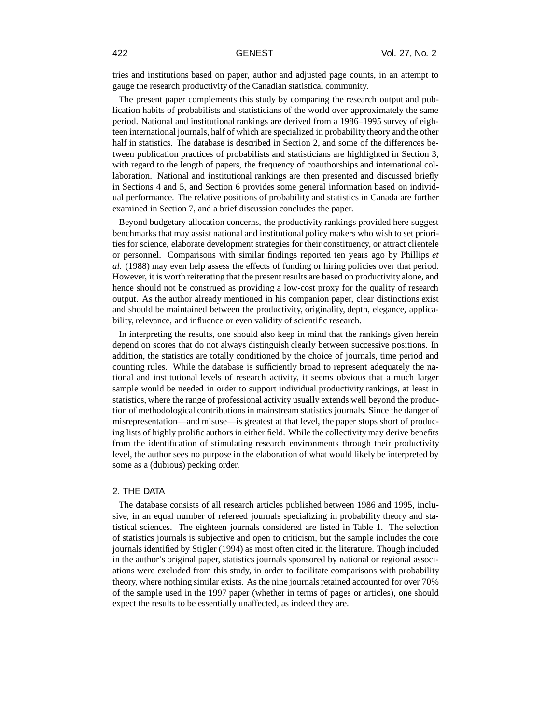tries and institutions based on paper, author and adjusted page counts, in an attempt to gauge the research productivity of the Canadian statistical community.

The present paper complements this study by comparing the research output and publication habits of probabilists and statisticians of the world over approximately the same period. National and institutional rankings are derived from a 1986–1995 survey of eighteen international journals, half of which are specialized in probability theory and the other half in statistics. The database is described in Section 2, and some of the differences between publication practices of probabilists and statisticians are highlighted in Section 3, with regard to the length of papers, the frequency of coauthorships and international collaboration. National and institutional rankings are then presented and discussed briefly in Sections 4 and 5, and Section 6 provides some general information based on individual performance. The relative positions of probability and statistics in Canada are further examined in Section 7, and a brief discussion concludes the paper.

Beyond budgetary allocation concerns, the productivity rankings provided here suggest benchmarks that may assist national and institutional policy makers who wish to set priorities for science, elaborate development strategies for their constituency, or attract clientele or personnel. Comparisons with similar findings reported ten years ago by Phillips *et al.* (1988) may even help assess the effects of funding or hiring policies over that period. However, it is worth reiterating that the present results are based on productivity alone, and hence should not be construed as providing a low-cost proxy for the quality of research output. As the author already mentioned in his companion paper, clear distinctions exist and should be maintained between the productivity, originality, depth, elegance, applicability, relevance, and influence or even validity of scientific research.

In interpreting the results, one should also keep in mind that the rankings given herein depend on scores that do not always distinguish clearly between successive positions. In addition, the statistics are totally conditioned by the choice of journals, time period and counting rules. While the database is sufficiently broad to represent adequately the national and institutional levels of research activity, it seems obvious that a much larger sample would be needed in order to support individual productivity rankings, at least in statistics, where the range of professional activity usually extends well beyond the production of methodological contributionsin mainstream statistics journals. Since the danger of misrepresentation—and misuse—is greatest at that level, the paper stops short of producing lists of highly prolific authors in either field. While the collectivity may derive benefits from the identification of stimulating research environments through their productivity level, the author sees no purpose in the elaboration of what would likely be interpreted by some as a (dubious) pecking order.

### 2. THE DATA

The database consists of all research articles published between 1986 and 1995, inclusive, in an equal number of refereed journals specializing in probability theory and statistical sciences. The eighteen journals considered are listed in Table 1. The selection of statistics journals is subjective and open to criticism, but the sample includes the core journals identified by Stigler (1994) as most often cited in the literature. Though included in the author's original paper, statistics journals sponsored by national or regional associations were excluded from this study, in order to facilitate comparisons with probability theory, where nothing similar exists. As the nine journals retained accounted for over 70% of the sample used in the 1997 paper (whether in terms of pages or articles), one should expect the results to be essentially unaffected, as indeed they are.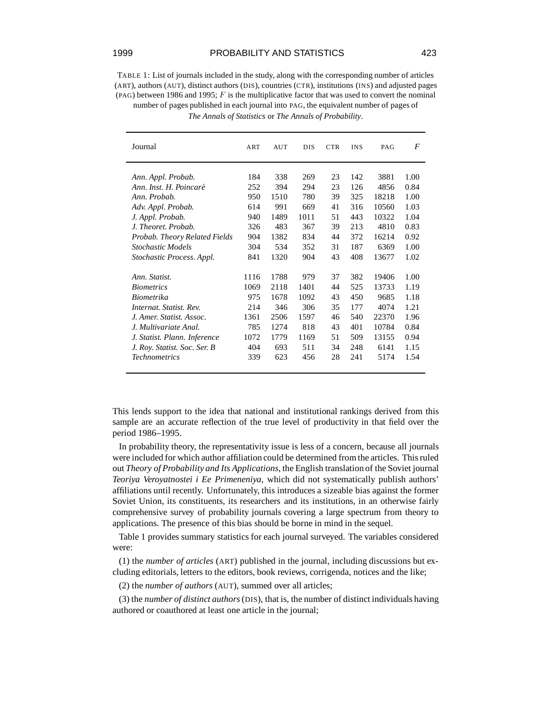TABLE 1: List of journals included in the study, along with the corresponding number of articles (ART), authors (AUT), distinct authors (DIS), countries (CTR), institutions (INS) and adjusted pages (PAG) between 1986 and 1995;  $F$  is the multiplicative factor that was used to convert the nominal number of pages published in each journal into PAG, the equivalent number of pages of

*The Annals of Statistics* or *The Annals of Probability*.

| Journal                       | ART  | AUT  | <b>DIS</b> | <b>CTR</b> | <b>INS</b> | PAG   | F    |
|-------------------------------|------|------|------------|------------|------------|-------|------|
| Ann. Appl. Probab.            | 184  | 338  | 269        | 23         | 142        | 3881  | 1.00 |
| Ann. Inst. H. Poincaré        | 252  | 394  | 294        | 23         | 126        | 4856  | 0.84 |
| Ann. Probab.                  | 950  | 1510 | 780        | 39         | 325        | 18218 | 1.00 |
|                               |      |      |            |            |            |       |      |
| Adv. Appl. Probab.            | 614  | 991  | 669        | 41         | 316        | 10560 | 1.03 |
| J. Appl. Probab.              | 940  | 1489 | 1011       | 51         | 443        | 10322 | 1.04 |
| J. Theoret, Probab.           | 326  | 483  | 367        | 39         | 213        | 4810  | 0.83 |
| Probab. Theory Related Fields | 904  | 1382 | 834        | 44         | 372        | 16214 | 0.92 |
| <b>Stochastic Models</b>      | 304  | 534  | 352        | 31         | 187        | 6369  | 1.00 |
| Stochastic Process. Appl.     | 841  | 1320 | 904        | 43         | 408        | 13677 | 1.02 |
| Ann. Statist.                 | 1116 | 1788 | 979        | 37         | 382        | 19406 | 1.00 |
| <b>Biometrics</b>             | 1069 | 2118 | 1401       | 44         | 525        | 13733 | 1.19 |
| <b>Biometrika</b>             | 975  | 1678 | 1092       | 43         | 450        | 9685  | 1.18 |
| Internat, Statist, Rev.       | 214  | 346  | 306        | 35         | 177        | 4074  | 1.21 |
| J. Amer. Statist. Assoc.      | 1361 | 2506 | 1597       | 46         | 540        | 22370 | 1.96 |
| J. Multivariate Anal.         | 785  | 1274 | 818        | 43         | 401        | 10784 | 0.84 |
| J. Statist. Plann. Inference  | 1072 | 1779 | 1169       | 51         | 509        | 13155 | 0.94 |
| J. Roy. Statist. Soc. Ser. B  | 404  | 693  | 511        | 34         | 248        | 6141  | 1.15 |
| <b>Technometrics</b>          | 339  | 623  | 456        | 28         | 241        | 5174  | 1.54 |

This lends support to the idea that national and institutional rankings derived from this sample are an accurate reflection of the true level of productivity in that field over the period 1986–1995.

In probability theory, the representativity issue is less of a concern, because all journals were included for which author affiliation could be determined from the articles. Thisruled out *Theory of Probability and Its Applications*, the English translation of the Soviet journal *Teoriya Veroyatnostei i Ee Primeneniya*, which did not systematically publish authors' affiliations until recently. Unfortunately, this introduces a sizeable bias against the former Soviet Union, its constituents, its researchers and its institutions, in an otherwise fairly comprehensive survey of probability journals covering a large spectrum from theory to applications. The presence of this bias should be borne in mind in the sequel.

Table 1 provides summary statistics for each journal surveyed. The variables considered were:

(1) the *number of articles* (ART) published in the journal, including discussions but excluding editorials, letters to the editors, book reviews, corrigenda, notices and the like;

(2) the *number of authors* (AUT), summed over all articles;

(3) the *number of distinct authors*(DIS), that is, the number of distinct individuals having authored or coauthored at least one article in the journal;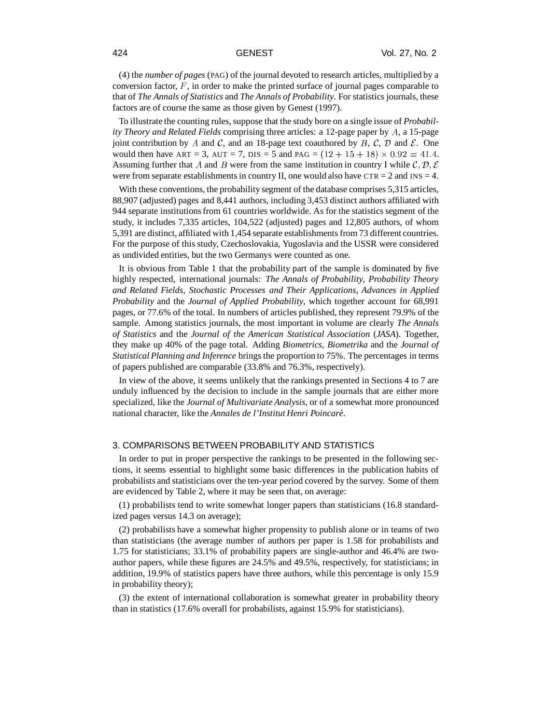(4) the *number of pages* (PAG) of the journal devoted to research articles, multiplied by a conversion factor,  $F$ , in order to make the printed surface of journal pages comparable to that of *The Annals of Statistics* and *The Annals of Probability*. For statistics journals, these factors are of course the same as those given by Genest (1997).

To illustrate the counting rules, suppose that the study bore on a single issue of *Probability Theory and Related Fields* comprising three articles: a 12-page paper by A, a 15-page joint contribution by A and C, and an 18-page text coauthored by B, C, D and E. One would then have  $ART = 3$ ,  $AUT = 7$ ,  $DIS = 5$  and  $PAG = (12 + 15 + 18) \times 0.92 = 41.4$ . Assuming further that A and B were from the same institution in country I while C, D,  $\mathcal{E}$ were from separate establishments in country II, one would also have  $CTR = 2$  and  $INS = 4$ .

With these conventions, the probability segment of the database comprises 5,315 articles, 88,907 (adjusted) pages and 8,441 authors, including 3,453 distinct authors affiliated with 944 separate institutions from 61 countries worldwide. As for the statistics segment of the study, it includes 7,335 articles, 104,522 (adjusted) pages and 12,805 authors, of whom 5,391 are distinct, affiliated with 1,454 separate establishments from 73 different countries. For the purpose of this study, Czechoslovakia, Yugoslavia and the USSR were considered as undivided entities, but the two Germanys were counted as one.

It is obvious from Table 1 that the probability part of the sample is dominated by five highly respected, international journals: *The Annals of Probability*, *Probability Theory and Related Fields*, *Stochastic Processes and Their Applications*, *Advances in Applied Probability* and the *Journal of Applied Probability*, which together account for 68,991 pages, or 77.6% of the total. In numbers of articles published, they represent 79.9% of the sample. Among statistics journals, the most important in volume are clearly *The Annals of Statistics* and the *Journal of the American Statistical Association* (*JASA*). Together, they make up 40% of the page total. Adding *Biometrics*, *Biometrika* and the *Journal of StatisticalPlanning and Inference* brings the proportion to 75%. The percentages in terms of papers published are comparable (33.8% and 76.3%, respectively).

In view of the above, it seems unlikely that the rankings presented in Sections 4 to 7 are unduly influenced by the decision to include in the sample journals that are either more specialized, like the *Journal of Multivariate Analysis*, or of a somewhat more pronounced national character, like the *Annales de l'Institut Henri Poincare´*.

### 3. COMPARISONS BETWEEN PROBABILITY AND STATISTICS

In order to put in proper perspective the rankings to be presented in the following sections, it seems essential to highlight some basic differences in the publication habits of probabilists and statisticians over the ten-year period covered by the survey. Some of them are evidenced by Table 2, where it may be seen that, on average:

(1) probabilists tend to write somewhat longer papers than statisticians (16.8 standardized pages versus 14.3 on average);

(2) probabilists have a somewhat higher propensity to publish alone or in teams of two than statisticians (the average number of authors per paper is 1.58 for probabilists and 1.75 for statisticians; 33.1% of probability papers are single-author and 46.4% are twoauthor papers, while these figures are 24.5% and 49.5%, respectively, for statisticians; in addition, 19.9% of statistics papers have three authors, while this percentage is only 15.9 in probability theory);

(3) the extent of international collaboration is somewhat greater in probability theory than in statistics (17.6% overall for probabilists, against 15.9% for statisticians).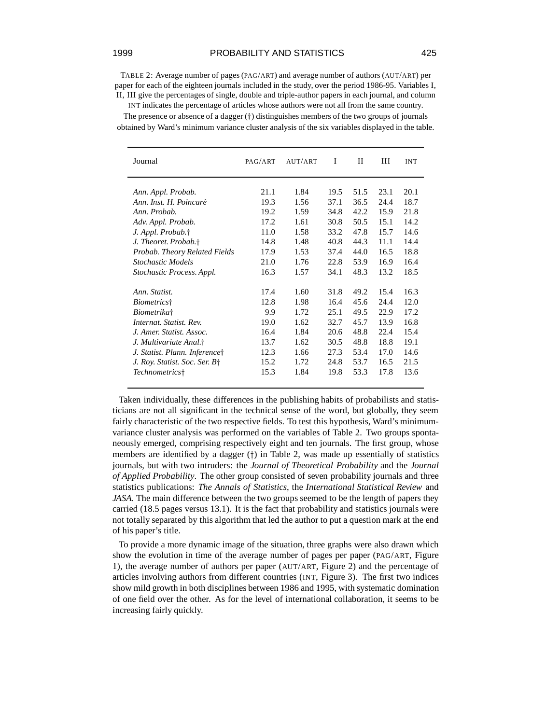TABLE 2: Average number of pages (PAG/ART) and average number of authors (AUT/ART) per paper for each of the eighteen journals included in the study, over the period 1986-95. Variables I, II, III give the percentages of single, double and triple-author papers in each journal, and column

INT indicates the percentage of articles whose authors were not all from the same country. The presence or absence of a dagger (†) distinguishes members of the two groups of journals obtained by Ward's minimum variance cluster analysis of the six variables displayed in the table.

| Journal                                   | PAG/ART | AIIT/ART | I    | Н    | Ш    | <b>INT</b> |
|-------------------------------------------|---------|----------|------|------|------|------------|
|                                           |         |          |      |      |      |            |
| Ann. Appl. Probab.                        | 21.1    | 1.84     | 19.5 | 51.5 | 23.1 | 20.1       |
| Ann. Inst. H. Poincaré                    | 19.3    | 1.56     | 37.1 | 36.5 | 24.4 | 18.7       |
| Ann. Probab.                              | 19.2    | 1.59     | 34.8 | 42.2 | 15.9 | 21.8       |
| Adv. Appl. Probab.                        | 17.2    | 1.61     | 30.8 | 50.5 | 15.1 | 14.2       |
| J. Appl. Probab. <sup>†</sup>             | 11.0    | 1.58     | 33.2 | 47.8 | 15.7 | 14.6       |
| J. Theoret. Probab. <sup>†</sup>          | 14.8    | 1.48     | 40.8 | 44.3 | 11.1 | 14.4       |
| Probab. Theory Related Fields             | 17.9    | 1.53     | 37.4 | 44.0 | 16.5 | 18.8       |
| <b>Stochastic Models</b>                  | 21.0    | 1.76     | 22.8 | 53.9 | 16.9 | 16.4       |
| Stochastic Process. Appl.                 | 16.3    | 1.57     | 34.1 | 48.3 | 13.2 | 18.5       |
| Ann. Statist.                             | 17.4    | 1.60     | 31.8 | 49.2 | 15.4 | 16.3       |
| Biometrics <sup>+</sup>                   | 12.8    | 1.98     | 16.4 | 45.6 | 24.4 | 12.0       |
| Biometrika <sup>+</sup>                   | 9.9     | 1.72     | 25.1 | 49.5 | 22.9 | 17.2       |
| Internat, Statist, Rev.                   | 19.0    | 1.62     | 32.7 | 45.7 | 13.9 | 16.8       |
| J. Amer. Statist. Assoc.                  | 16.4    | 1.84     | 20.6 | 48.8 | 22.4 | 15.4       |
| J. Multivariate Anal.†                    | 13.7    | 1.62     | 30.5 | 48.8 | 18.8 | 19.1       |
| J. Statist. Plann. Inference†             | 12.3    | 1.66     | 27.3 | 53.4 | 17.0 | 14.6       |
| J. Roy. Statist. Soc. Ser. B <sup>+</sup> | 15.2    | 1.72     | 24.8 | 53.7 | 16.5 | 21.5       |
| Technometrics <sup>†</sup>                | 15.3    | 1.84     | 19.8 | 53.3 | 17.8 | 13.6       |
|                                           |         |          |      |      |      |            |

Taken individually, these differences in the publishing habits of probabilists and statisticians are not all significant in the technical sense of the word, but globally, they seem fairly characteristic of the two respective fields. To test this hypothesis, Ward's minimumvariance cluster analysis was performed on the variables of Table 2. Two groups spontaneously emerged, comprising respectively eight and ten journals. The first group, whose members are identified by a dagger  $(†)$  in Table 2, was made up essentially of statistics journals, but with two intruders: the *Journal of Theoretical Probability* and the *Journal of Applied Probability*. The other group consisted of seven probability journals and three statistics publications: *The Annals of Statistics*, the *International Statistical Review* and *JASA*. The main difference between the two groups seemed to be the length of papers they carried (18.5 pages versus 13.1). It is the fact that probability and statistics journals were not totally separated by this algorithm that led the author to put a question mark at the end of his paper's title.

To provide a more dynamic image of the situation, three graphs were also drawn which show the evolution in time of the average number of pages per paper (PAG/ART, Figure 1), the average number of authors per paper (AUT/ART, Figure 2) and the percentage of articles involving authors from different countries (INT, Figure 3). The first two indices show mild growth in both disciplines between 1986 and 1995, with systematic domination of one field over the other. As for the level of international collaboration, it seems to be increasing fairly quickly.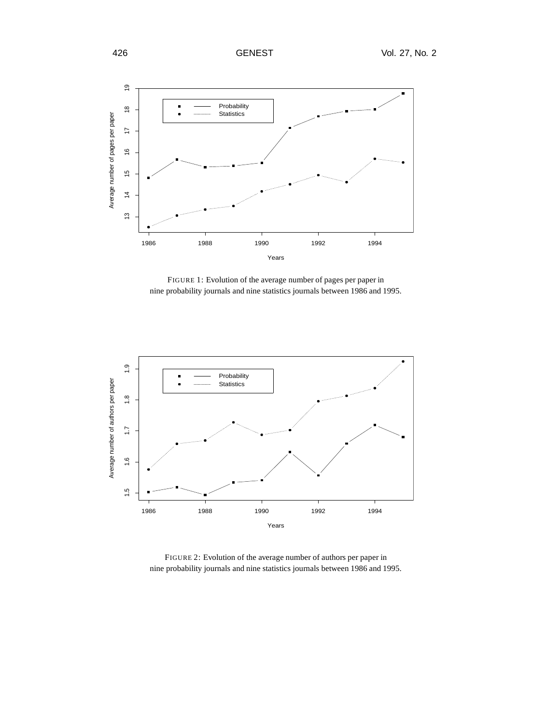

FIGURE 1: Evolution of the average number of pages per paper in nine probability journals and nine statistics journals between 1986 and 1995.



FIGURE 2: Evolution of the average number of authors per paper in nine probability journals and nine statistics journals between 1986 and 1995.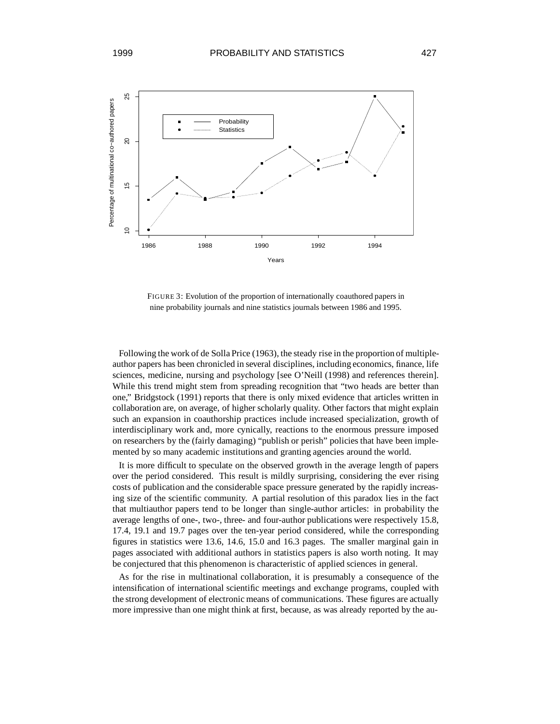

FIGURE 3: Evolution of the proportion of internationally coauthored papers in nine probability journals and nine statistics journals between 1986 and 1995.

Years

1986 1988 1990 1992 1994

Following the work of de Solla Price (1963), the steady rise in the proportion of multipleauthor papers has been chronicled in several disciplines, including economics, finance, life sciences, medicine, nursing and psychology [see O'Neill (1998) and references therein]. While this trend might stem from spreading recognition that "two heads are better than one," Bridgstock (1991) reports that there is only mixed evidence that articles written in collaboration are, on average, of higher scholarly quality. Other factors that might explain such an expansion in coauthorship practices include increased specialization, growth of interdisciplinary work and, more cynically, reactions to the enormous pressure imposed on researchers by the (fairly damaging) "publish or perish" policies that have been implemented by so many academic institutions and granting agencies around the world.

It is more difficult to speculate on the observed growth in the average length of papers over the period considered. This result is mildly surprising, considering the ever rising costs of publication and the considerable space pressure generated by the rapidly increasing size of the scientific community. A partial resolution of this paradox lies in the fact that multiauthor papers tend to be longer than single-author articles: in probability the average lengths of one-, two-, three- and four-author publications were respectively 15.8, 17.4, 19.1 and 19.7 pages over the ten-year period considered, while the corresponding figures in statistics were 13.6, 14.6, 15.0 and 16.3 pages. The smaller marginal gain in pages associated with additional authors in statistics papers is also worth noting. It may be conjectured that this phenomenon is characteristic of applied sciences in general.

As for the rise in multinational collaboration, it is presumably a consequence of the intensification of international scientific meetings and exchange programs, coupled with the strong development of electronic means of communications. These figures are actually more impressive than one might think at first, because, as was already reported by the au-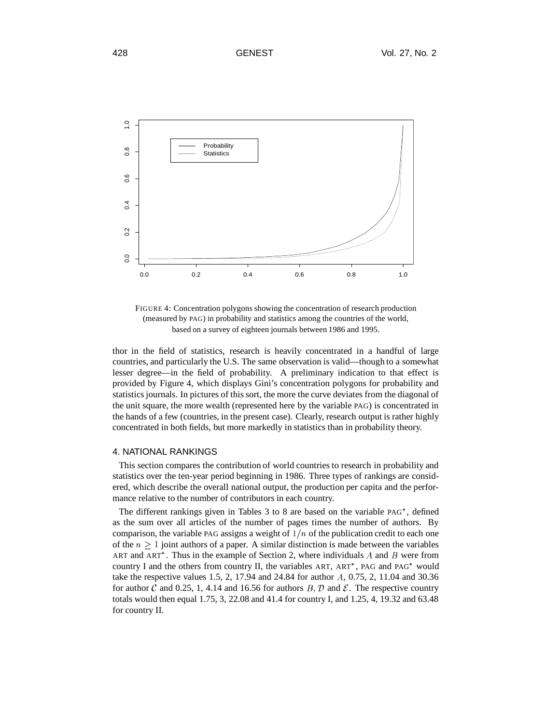

FIGURE 4: Concentration polygons showing the concentration of research production (measured by PAG) in probability and statistics among the countries of the world, based on a survey of eighteen journals between 1986 and 1995.

thor in the field of statistics, research is heavily concentrated in a handful of large countries, and particularly the U.S. The same observation is valid—though to a somewhat lesser degree—in the field of probability. A preliminary indication to that effect is provided by Figure 4, which displays Gini's concentration polygons for probability and statistics journals. In pictures of this sort, the more the curve deviates from the diagonal of the unit square, the more wealth (represented here by the variable PAG) is concentrated in the hands of a few (countries, in the present case). Clearly, research output is rather highly concentrated in both fields, but more markedly in statistics than in probability theory.

## 4. NATIONAL RANKINGS

This section compares the contribution of world countries to research in probability and statistics over the ten-year period beginning in 1986. Three types of rankings are considered, which describe the overall national output, the production per capita and the performance relative to the number of contributors in each country.

The different rankings given in Tables 3 to 8 are based on the variable PAG\*, defined as the sum over all articles of the number of pages times the number of authors. By comparison, the variable PAG assigns a weight of  $1/n$  of the publication credit to each one of the  $n \geq 1$  joint authors of a paper. A similar distinction is made between the variables ART and ART<sup>\*</sup>. Thus in the example of Section 2, where individuals A and B were from country I and the others from country II, the variables ART, ART\*, PAG and PAG\* would take the respective values 1.5, 2, 17.94 and 24.84 for author  $A$ , 0.75, 2, 11.04 and 30.36 for author C and 0.25, 1, 4.14 and 16.56 for authors  $B, D$  and  $\mathcal{E}$ . The respective country totals would then equal 1.75, 3, 22.08 and 41.4 for country I, and 1.25, 4, 19.32 and 63.48 for country II.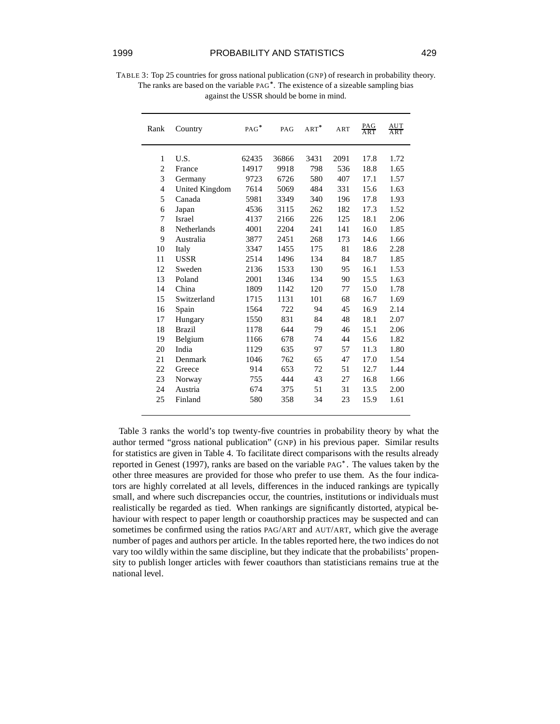TABLE 3: Top 25 countries for gross national publication (GNP) of research in probability theory. The ranks are based on the variable PAG . The existence of a sizeable sampling bias against the USSR should be borne in mind.

| Rank           | Country            | PAG <sup>*</sup> | PAG   | $\mathbf{ART}^*$ | ART  | $rac{\text{PAG}}{\text{ART}}$ | AUT<br>ART |
|----------------|--------------------|------------------|-------|------------------|------|-------------------------------|------------|
| 1              | U.S.               | 62435            | 36866 | 3431             | 2091 | 17.8                          | 1.72       |
| 2              | France             | 14917            | 9918  | 798              | 536  | 18.8                          | 1.65       |
| 3              | Germany            | 9723             | 6726  | 580              | 407  | 17.1                          | 1.57       |
| $\overline{4}$ | United Kingdom     | 7614             | 5069  | 484              | 331  | 15.6                          | 1.63       |
| 5              | Canada             | 5981             | 3349  | 340              | 196  | 17.8                          | 1.93       |
| 6              | Japan              | 4536             | 3115  | 262              | 182  | 17.3                          | 1.52       |
| 7              | <b>Israel</b>      | 4137             | 2166  | 226              | 125  | 18.1                          | 2.06       |
| 8              | <b>Netherlands</b> | 4001             | 2204  | 241              | 141  | 16.0                          | 1.85       |
| 9              | Australia          | 3877             | 2451  | 268              | 173  | 14.6                          | 1.66       |
| 10             | Italy              | 3347             | 1455  | 175              | 81   | 18.6                          | 2.28       |
| 11             | <b>USSR</b>        | 2514             | 1496  | 134              | 84   | 18.7                          | 1.85       |
| 12             | Sweden             | 2136             | 1533  | 130              | 95   | 16.1                          | 1.53       |
| 13             | Poland             | 2001             | 1346  | 134              | 90   | 15.5                          | 1.63       |
| 14             | China              | 1809             | 1142  | 120              | 77   | 15.0                          | 1.78       |
| 15             | Switzerland        | 1715             | 1131  | 101              | 68   | 16.7                          | 1.69       |
| 16             | Spain              | 1564             | 722   | 94               | 45   | 16.9                          | 2.14       |
| 17             | Hungary            | 1550             | 831   | 84               | 48   | 18.1                          | 2.07       |
| 18             | <b>Brazil</b>      | 1178             | 644   | 79               | 46   | 15.1                          | 2.06       |
| 19             | Belgium            | 1166             | 678   | 74               | 44   | 15.6                          | 1.82       |
| 20             | India              | 1129             | 635   | 97               | 57   | 11.3                          | 1.80       |
| 21             | Denmark            | 1046             | 762   | 65               | 47   | 17.0                          | 1.54       |
| 22             | Greece             | 914              | 653   | 72               | 51   | 12.7                          | 1.44       |
| 23             | Norway             | 755              | 444   | 43               | 27   | 16.8                          | 1.66       |
| 24             | Austria            | 674              | 375   | 51               | 31   | 13.5                          | 2.00       |
| 25             | Finland            | 580              | 358   | 34               | 23   | 15.9                          | 1.61       |

Table 3 ranks the world's top twenty-five countries in probability theory by what the author termed "gross national publication" (GNP) in his previous paper. Similar results for statistics are given in Table 4. To facilitate direct comparisons with the results already reported in Genest (1997), ranks are based on the variable PAG<sup>\*</sup>. The values taken by the other three measures are provided for those who prefer to use them. As the four indicators are highly correlated at all levels, differences in the induced rankings are typically small, and where such discrepancies occur, the countries, institutions or individuals must realistically be regarded as tied. When rankings are significantly distorted, atypical behaviour with respect to paper length or coauthorship practices may be suspected and can sometimes be confirmed using the ratios PAG/ART and AUT/ART, which give the average number of pages and authors per article. In the tables reported here, the two indices do not vary too wildly within the same discipline, but they indicate that the probabilists' propensity to publish longer articles with fewer coauthors than statisticians remains true at the national level.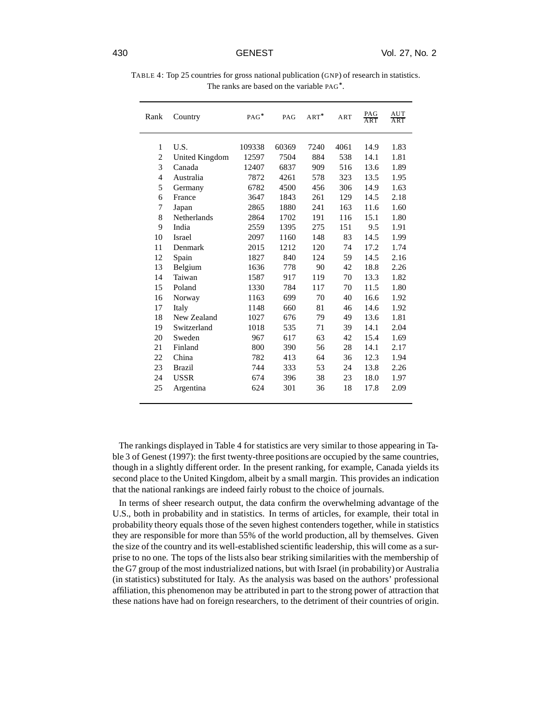| Rank           | Country            | $PAG^*$ | PAG   | $ART^*$ | ART  | $\frac{\text{PAG}}{\text{ART}}$ | AUT<br>ART |
|----------------|--------------------|---------|-------|---------|------|---------------------------------|------------|
| 1              | U.S.               | 109338  | 60369 | 7240    | 4061 | 14.9                            | 1.83       |
| $\overline{2}$ | United Kingdom     | 12597   | 7504  | 884     | 538  | 14.1                            | 1.81       |
| 3              | Canada             | 12407   | 6837  | 909     | 516  | 13.6                            | 1.89       |
| $\overline{4}$ | Australia          | 7872    | 4261  | 578     | 323  | 13.5                            | 1.95       |
| 5              | Germany            | 6782    | 4500  | 456     | 306  | 14.9                            | 1.63       |
| 6              | France             | 3647    | 1843  | 261     | 129  | 14.5                            | 2.18       |
| 7              | Japan              | 2865    | 1880  | 241     | 163  | 11.6                            | 1.60       |
| 8              | <b>Netherlands</b> | 2864    | 1702  | 191     | 116  | 15.1                            | 1.80       |
| 9              | India              | 2559    | 1395  | 275     | 151  | 9.5                             | 1.91       |
| 10             | <b>Israel</b>      | 2097    | 1160  | 148     | 83   | 14.5                            | 1.99       |
| 11             | Denmark            | 2015    | 1212  | 120     | 74   | 17.2                            | 1.74       |
| 12             | Spain              | 1827    | 840   | 124     | 59   | 14.5                            | 2.16       |
| 13             | Belgium            | 1636    | 778   | 90      | 42   | 18.8                            | 2.26       |
| 14             | Taiwan             | 1587    | 917   | 119     | 70   | 13.3                            | 1.82       |
| 15             | Poland             | 1330    | 784   | 117     | 70   | 11.5                            | 1.80       |
| 16             | Norway             | 1163    | 699   | 70      | 40   | 16.6                            | 1.92       |
| 17             | Italy              | 1148    | 660   | 81      | 46   | 14.6                            | 1.92       |
| 18             | New Zealand        | 1027    | 676   | 79      | 49   | 13.6                            | 1.81       |
| 19             | Switzerland        | 1018    | 535   | 71      | 39   | 14.1                            | 2.04       |
| 20             | Sweden             | 967     | 617   | 63      | 42   | 15.4                            | 1.69       |
| 21             | Finland            | 800     | 390   | 56      | 28   | 14.1                            | 2.17       |
| 22             | China              | 782     | 413   | 64      | 36   | 12.3                            | 1.94       |
| 23             | <b>Brazil</b>      | 744     | 333   | 53      | 24   | 13.8                            | 2.26       |
| 24             | <b>USSR</b>        | 674     | 396   | 38      | 23   | 18.0                            | 1.97       |
| 25             | Argentina          | 624     | 301   | 36      | 18   | 17.8                            | 2.09       |

TABLE 4: Top 25 countries for gross national publication (GNP) of research in statistics. The ranks are based on the variable PAG<sup>\*</sup>.

The rankings displayed in Table 4 for statistics are very similar to those appearing in Table 3 of Genest (1997): the first twenty-three positions are occupied by the same countries, though in a slightly different order. In the present ranking, for example, Canada yields its second place to the United Kingdom, albeit by a small margin. This provides an indication that the national rankings are indeed fairly robust to the choice of journals.

In terms of sheer research output, the data confirm the overwhelming advantage of the U.S., both in probability and in statistics. In terms of articles, for example, their total in probability theory equals those of the seven highest contenders together, while in statistics they are responsible for more than 55% of the world production, all by themselves. Given the size of the country and its well-established scientific leadership, this will come as a surprise to no one. The tops of the lists also bear striking similarities with the membership of the G7 group of the most industrialized nations, but with Israel (in probability)or Australia (in statistics) substituted for Italy. As the analysis was based on the authors' professional affiliation, this phenomenon may be attributed in part to the strong power of attraction that these nations have had on foreign researchers, to the detriment of their countries of origin.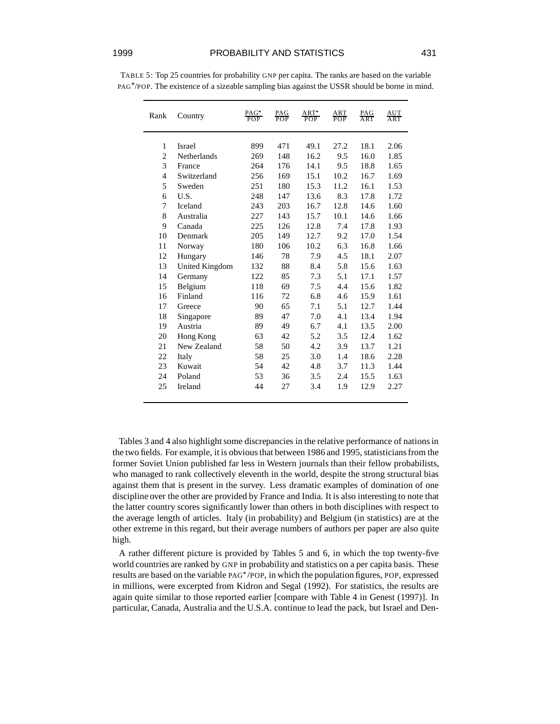| Rank           | Country            | PAG <sup>*</sup><br>POP | PAG<br>POP | ART*<br>POP. | ART<br><b>POP</b> | PAG<br>ART | AUT<br>ART |
|----------------|--------------------|-------------------------|------------|--------------|-------------------|------------|------------|
| 1              | Israel             | 899                     | 471        | 49.1         | 27.2              | 18.1       | 2.06       |
| $\overline{2}$ | <b>Netherlands</b> | 269                     | 148        | 16.2         | 9.5               | 16.0       | 1.85       |
| 3              | France             | 264                     | 176        | 14.1         | 9.5               | 18.8       | 1.65       |
| 4              | Switzerland        | 256                     | 169        | 15.1         | 10.2              | 16.7       | 1.69       |
| 5              | Sweden             | 251                     | 180        | 15.3         | 11.2              | 16.1       | 1.53       |
| 6              | U.S.               | 248                     | 147        | 13.6         | 8.3               | 17.8       | 1.72       |
| 7              | Iceland            | 243                     | 203        | 16.7         | 12.8              | 14.6       | 1.60       |
| 8              | Australia          | 227                     | 143        | 15.7         | 10.1              | 14.6       | 1.66       |
| 9              | Canada             | 225                     | 126        | 12.8         | 7.4               | 17.8       | 1.93       |
| 10             | Denmark            | 205                     | 149        | 12.7         | 9.2               | 17.0       | 1.54       |
| 11             | Norway             | 180                     | 106        | 10.2         | 6.3               | 16.8       | 1.66       |
| 12             | Hungary            | 146                     | 78         | 7.9          | 4.5               | 18.1       | 2.07       |
| 13             | United Kingdom     | 132                     | 88         | 8.4          | 5.8               | 15.6       | 1.63       |
| 14             | Germany            | 122                     | 85         | 7.3          | 5.1               | 17.1       | 1.57       |
| 15             | Belgium            | 118                     | 69         | 7.5          | 4.4               | 15.6       | 1.82       |
| 16             | Finland            | 116                     | 72         | 6.8          | 4.6               | 15.9       | 1.61       |
| 17             | Greece             | 90                      | 65         | 7.1          | 5.1               | 12.7       | 1.44       |
| 18             | Singapore          | 89                      | 47         | 7.0          | 4.1               | 13.4       | 1.94       |
| 19             | Austria            | 89                      | 49         | 6.7          | 4.1               | 13.5       | 2.00       |
| 20             | Hong Kong          | 63                      | 42         | 5.2          | 3.5               | 12.4       | 1.62       |
| 21             | New Zealand        | 58                      | 50         | 4.2          | 3.9               | 13.7       | 1.21       |
| 22             | Italy              | 58                      | 25         | 3.0          | 1.4               | 18.6       | 2.28       |
| 23             | Kuwait             | 54                      | 42         | 4.8          | 3.7               | 11.3       | 1.44       |
| 24             | Poland             | 53                      | 36         | 3.5          | 2.4               | 15.5       | 1.63       |
| 25             | Ireland            | 44                      | 27         | 3.4          | 1.9               | 12.9       | 2.27       |
|                |                    |                         |            |              |                   |            |            |

TABLE 5: Top 25 countries for probability GNP per capita. The ranks are based on the variable PAG<sup>\*</sup>/POP. The existence of a sizeable sampling bias against the USSR should be borne in mind.

Tables 3 and 4 also highlight some discrepancies in the relative performance of nations in the two fields. For example, it is obviousthat between 1986 and 1995, statisticiansfrom the former Soviet Union published far less in Western journals than their fellow probabilists, who managed to rank collectively eleventh in the world, despite the strong structural bias against them that is present in the survey. Less dramatic examples of domination of one discipline over the other are provided by France and India. It is also interesting to note that the latter country scores significantly lower than others in both disciplines with respect to the average length of articles. Italy (in probability) and Belgium (in statistics) are at the other extreme in this regard, but their average numbers of authors per paper are also quite high.

A rather different picture is provided by Tables 5 and 6, in which the top twenty-five world countries are ranked by GNP in probability and statistics on a per capita basis. These results are based on the variable PAG\*/POP, in which the population figures, POP, expressed in millions, were excerpted from Kidron and Segal (1992). For statistics, the results are again quite similar to those reported earlier [compare with Table 4 in Genest (1997)]. In particular, Canada, Australia and the U.S.A. continue to lead the pack, but Israel and Den-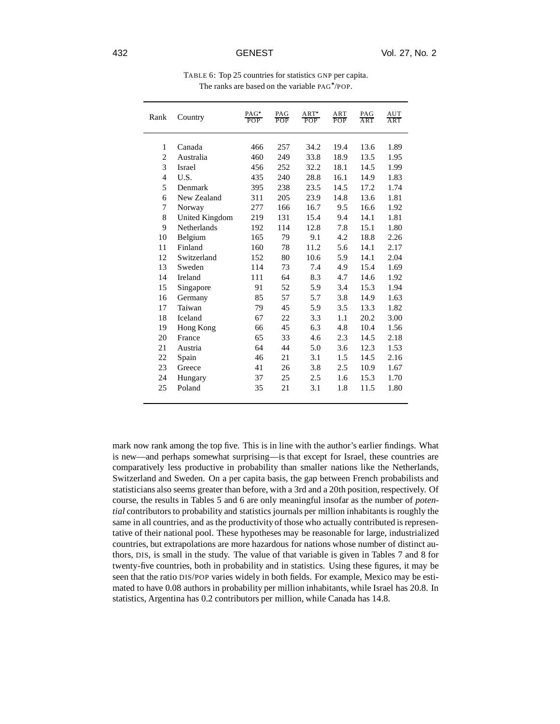| Rank           | Country            | $\frac{PAG^*}{POP}$ | $PAG$<br>POP | $\frac{ART^*}{POP}$ | ART<br>POP | $\frac{\text{PAG}}{\text{ART}}$ | AUT<br>ART |
|----------------|--------------------|---------------------|--------------|---------------------|------------|---------------------------------|------------|
| 1              | Canada             | 466                 | 257          | 34.2                | 19.4       | 13.6                            | 1.89       |
| $\overline{2}$ | Australia          | 460                 | 249          | 33.8                | 18.9       | 13.5                            | 1.95       |
| 3              | Israel             | 456                 | 252          | 32.2                | 18.1       | 14.5                            | 1.99       |
| $\overline{4}$ | U.S.               | 435                 | 240          | 28.8                | 16.1       | 14.9                            | 1.83       |
| 5              | Denmark            | 395                 | 238          | 23.5                | 14.5       | 17.2                            | 1.74       |
| 6              | New Zealand        | 311                 | 205          | 23.9                | 14.8       | 13.6                            | 1.81       |
| 7              | Norway             | 277                 | 166          | 16.7                | 9.5        | 16.6                            | 1.92       |
| 8              | United Kingdom     | 219                 | 131          | 15.4                | 9.4        | 14.1                            | 1.81       |
| 9              | <b>Netherlands</b> | 192                 | 114          | 12.8                | 7.8        | 15.1                            | 1.80       |
| 10             | Belgium            | 165                 | 79           | 9.1                 | 4.2        | 18.8                            | 2.26       |
| 11             | Finland            | 160                 | 78           | 11.2                | 5.6        | 14.1                            | 2.17       |
| 12             | Switzerland        | 152                 | 80           | 10.6                | 5.9        | 14.1                            | 2.04       |
| 13             | Sweden             | 114                 | 73           | 7.4                 | 4.9        | 15.4                            | 1.69       |
| 14             | Ireland            | 111                 | 64           | 8.3                 | 4.7        | 14.6                            | 1.92       |
| 15             | Singapore          | 91                  | 52           | 5.9                 | 3.4        | 15.3                            | 1.94       |
| 16             | Germany            | 85                  | 57           | 5.7                 | 3.8        | 14.9                            | 1.63       |
| 17             | Taiwan             | 79                  | 45           | 5.9                 | 3.5        | 13.3                            | 1.82       |
| 18             | Iceland            | 67                  | 22           | 3.3                 | 1.1        | 20.2                            | 3.00       |
| 19             | Hong Kong          | 66                  | 45           | 6.3                 | 4.8        | 10.4                            | 1.56       |
| 20             | France             | 65                  | 33           | 4.6                 | 2.3        | 14.5                            | 2.18       |
| 21             | Austria            | 64                  | 44           | 5.0                 | 3.6        | 12.3                            | 1.53       |
| 22             | Spain              | 46                  | 21           | 3.1                 | 1.5        | 14.5                            | 2.16       |
| 23             | Greece             | 41                  | 26           | 3.8                 | 2.5        | 10.9                            | 1.67       |
| 24             | Hungary            | 37                  | 25           | 2.5                 | 1.6        | 15.3                            | 1.70       |
| 25             | Poland             | 35                  | 21           | 3.1                 | 1.8        | 11.5                            | 1.80       |
|                |                    |                     |              |                     |            |                                 |            |

TABLE 6: Top 25 countries for statistics GNP per capita. The ranks are based on the variable PAG<sup>\*</sup>/POP.

mark now rank among the top five. This is in line with the author's earlier findings. What is new—and perhaps somewhat surprising—is that except for Israel, these countries are comparatively less productive in probability than smaller nations like the Netherlands, Switzerland and Sweden. On a per capita basis, the gap between French probabilists and statisticians also seems greater than before, with a 3rd and a 20th position, respectively. Of course, the results in Tables 5 and 6 are only meaningful insofar as the number of *potential* contributors to probability and statistics journals per million inhabitants is roughly the same in all countries, and as the productivityof those who actually contributed is representative of their national pool. These hypotheses may be reasonable for large, industrialized countries, but extrapolations are more hazardous for nations whose number of distinct authors, DIS, is small in the study. The value of that variable is given in Tables 7 and 8 for twenty-five countries, both in probability and in statistics. Using these figures, it may be seen that the ratio DIS/POP varies widely in both fields. For example, Mexico may be estimated to have 0.08 authors in probability per million inhabitants, while Israel has 20.8. In statistics, Argentina has 0.2 contributors per million, while Canada has 14.8.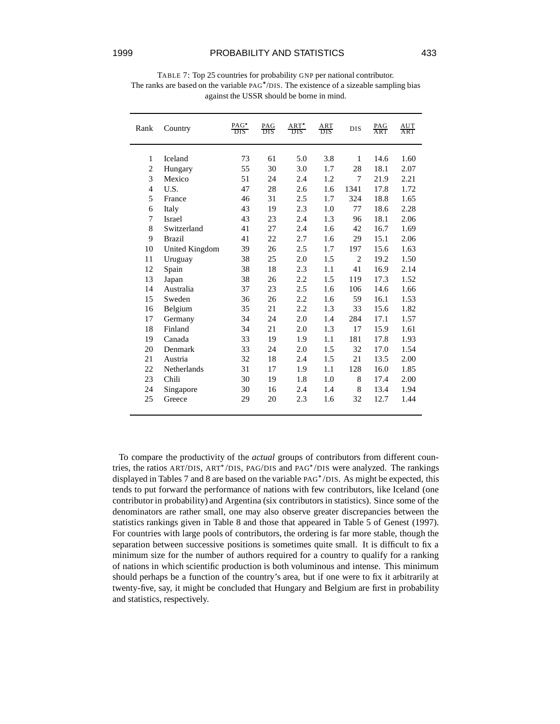| 73<br>61<br>5.0<br>1<br>Iceland<br>3.8<br>14.6<br>1.60<br>1<br>$\overline{c}$<br>55<br>30<br>28<br>18.1<br>3.0<br>1.7<br>2.07<br>Hungary<br>3<br>Mexico<br>51<br>24<br>1.2<br>7<br>21.9<br>2.21<br>2.4<br>$\overline{4}$<br>U.S.<br>47<br>28<br>1341<br>17.8<br>1.72<br>2.6<br>1.6<br>5<br>31<br>2.5<br>1.7<br>324<br>18.8<br>1.65<br>46<br>France<br>43<br>19<br>77<br>18.6<br>6<br>Italy<br>2.3<br>1.0<br>2.28<br>43<br>23<br>18.1<br>2.06<br>7<br>Israel<br>2.4<br>1.3<br>96<br>8<br>27<br>16.7<br>Switzerland<br>41<br>2.4<br>1.6<br>42<br>1.69<br>9<br><b>Brazil</b><br>41<br>22<br>2.7<br>1.6<br>29<br>15.1<br>2.06<br>15.6<br>10<br>39<br>26<br>2.5<br>1.7<br>197<br>1.63<br>United Kingdom<br>38<br>$\overline{2}$<br>19.2<br>1.50<br>11<br>25<br>2.0<br>1.5<br>Uruguay | AUT<br>ART |
|---------------------------------------------------------------------------------------------------------------------------------------------------------------------------------------------------------------------------------------------------------------------------------------------------------------------------------------------------------------------------------------------------------------------------------------------------------------------------------------------------------------------------------------------------------------------------------------------------------------------------------------------------------------------------------------------------------------------------------------------------------------------------------|------------|
|                                                                                                                                                                                                                                                                                                                                                                                                                                                                                                                                                                                                                                                                                                                                                                                 |            |
|                                                                                                                                                                                                                                                                                                                                                                                                                                                                                                                                                                                                                                                                                                                                                                                 |            |
|                                                                                                                                                                                                                                                                                                                                                                                                                                                                                                                                                                                                                                                                                                                                                                                 |            |
|                                                                                                                                                                                                                                                                                                                                                                                                                                                                                                                                                                                                                                                                                                                                                                                 |            |
|                                                                                                                                                                                                                                                                                                                                                                                                                                                                                                                                                                                                                                                                                                                                                                                 |            |
|                                                                                                                                                                                                                                                                                                                                                                                                                                                                                                                                                                                                                                                                                                                                                                                 |            |
|                                                                                                                                                                                                                                                                                                                                                                                                                                                                                                                                                                                                                                                                                                                                                                                 |            |
|                                                                                                                                                                                                                                                                                                                                                                                                                                                                                                                                                                                                                                                                                                                                                                                 |            |
|                                                                                                                                                                                                                                                                                                                                                                                                                                                                                                                                                                                                                                                                                                                                                                                 |            |
|                                                                                                                                                                                                                                                                                                                                                                                                                                                                                                                                                                                                                                                                                                                                                                                 |            |
|                                                                                                                                                                                                                                                                                                                                                                                                                                                                                                                                                                                                                                                                                                                                                                                 |            |
| 12<br>18<br>2.3<br>41<br>38<br>1.1<br>16.9<br>2.14<br>Spain                                                                                                                                                                                                                                                                                                                                                                                                                                                                                                                                                                                                                                                                                                                     |            |
| 13<br>38<br>26<br>2.2<br>1.5<br>119<br>17.3<br>1.52<br>Japan                                                                                                                                                                                                                                                                                                                                                                                                                                                                                                                                                                                                                                                                                                                    |            |
| 14<br>Australia<br>23<br>2.5<br>106<br>14.6<br>1.66<br>37<br>1.6                                                                                                                                                                                                                                                                                                                                                                                                                                                                                                                                                                                                                                                                                                                |            |
| 16.1<br>15<br>Sweden<br>36<br>26<br>2.2<br>59<br>1.53<br>1.6                                                                                                                                                                                                                                                                                                                                                                                                                                                                                                                                                                                                                                                                                                                    |            |
| 2.2<br>21<br>33<br>15.6<br>1.82<br>16<br>Belgium<br>35<br>1.3                                                                                                                                                                                                                                                                                                                                                                                                                                                                                                                                                                                                                                                                                                                   |            |
| 34<br>24<br>2.0<br>284<br>17.1<br>17<br>1.4<br>1.57<br>Germany                                                                                                                                                                                                                                                                                                                                                                                                                                                                                                                                                                                                                                                                                                                  |            |
| 17<br>18<br>Finland<br>21<br>2.0<br>1.3<br>15.9<br>1.61<br>34                                                                                                                                                                                                                                                                                                                                                                                                                                                                                                                                                                                                                                                                                                                   |            |
| 19<br>33<br>19<br>1.9<br>181<br>1.1<br>17.8<br>1.93<br>Canada                                                                                                                                                                                                                                                                                                                                                                                                                                                                                                                                                                                                                                                                                                                   |            |
| 20<br>33<br>24<br>2.0<br>32<br>17.0<br>1.54<br>Denmark<br>1.5                                                                                                                                                                                                                                                                                                                                                                                                                                                                                                                                                                                                                                                                                                                   |            |
| 21<br>18<br>21<br>13.5<br>2.00<br>32<br>2.4<br>1.5<br>Austria                                                                                                                                                                                                                                                                                                                                                                                                                                                                                                                                                                                                                                                                                                                   |            |
| 22<br>31<br>17<br>128<br>16.0<br>Netherlands<br>1.9<br>1.1<br>1.85                                                                                                                                                                                                                                                                                                                                                                                                                                                                                                                                                                                                                                                                                                              |            |
| Chili<br>30<br>1.8<br>8<br>17.4<br>23<br>19<br>1.0<br>2.00                                                                                                                                                                                                                                                                                                                                                                                                                                                                                                                                                                                                                                                                                                                      |            |
| 8<br>13.4<br>24<br>30<br>16<br>2.4<br>1.94<br>1.4<br>Singapore                                                                                                                                                                                                                                                                                                                                                                                                                                                                                                                                                                                                                                                                                                                  |            |
| 32<br>25<br>29<br>20<br>2.3<br>12.7<br>1.44<br>1.6<br>Greece                                                                                                                                                                                                                                                                                                                                                                                                                                                                                                                                                                                                                                                                                                                    |            |

TABLE 7: Top 25 countries for probability GNP per national contributor. The ranks are based on the variable  $PAG^* / DIS$ . The existence of a sizeable sampling bias against the USSR should be borne in mind.

To compare the productivity of the *actual* groups of contributors from different countries, the ratios ART/DIS, ART\*/DIS, PAG/DIS and PAG\*/DIS were analyzed. The rankings displayed in Tables 7 and 8 are based on the variable PAG\*/DIS. As might be expected, this tends to put forward the performance of nations with few contributors, like Iceland (one contributor in probability) and Argentina (six contributors in statistics). Since some of the denominators are rather small, one may also observe greater discrepancies between the statistics rankings given in Table 8 and those that appeared in Table 5 of Genest (1997). For countries with large pools of contributors, the ordering is far more stable, though the separation between successive positions is sometimes quite small. It is difficult to fix a minimum size for the number of authors required for a country to qualify for a ranking of nations in which scientific production is both voluminous and intense. This minimum should perhaps be a function of the country's area, but if one were to fix it arbitrarily at twenty-five, say, it might be concluded that Hungary and Belgium are first in probability and statistics, respectively.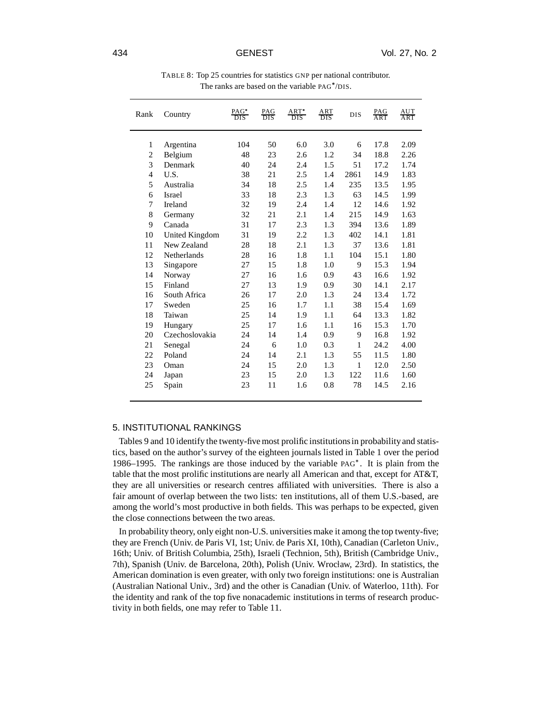| Rank           | Country        | PAG <sup>*</sup><br>DIS. | PAG<br>DIS | ART*<br>DIS. | ART<br>DIS. | <b>DIS</b> | PAG<br>ART | <b>AUT</b><br>ART |
|----------------|----------------|--------------------------|------------|--------------|-------------|------------|------------|-------------------|
| 1              | Argentina      | 104                      | 50         | 6.0          | 3.0         | 6          | 17.8       | 2.09              |
| 2              | Belgium        | 48                       | 23         | 2.6          | 1.2         | 34         | 18.8       | 2.26              |
| 3              | Denmark        | 40                       | 24         | 2.4          | 1.5         | 51         | 17.2       | 1.74              |
| $\overline{4}$ | U.S.           | 38                       | 21         | 2.5          | 1.4         | 2861       | 14.9       | 1.83              |
| 5              | Australia      | 34                       | 18         | 2.5          | 1.4         | 235        | 13.5       | 1.95              |
| 6              | <b>Israel</b>  | 33                       | 18         | 2.3          | 1.3         | 63         | 14.5       | 1.99              |
| 7              | Ireland        | 32                       | 19         | 2.4          | 1.4         | 12         | 14.6       | 1.92              |
| 8              | Germany        | 32                       | 21         | 2.1          | 1.4         | 215        | 14.9       | 1.63              |
| 9              | Canada         | 31                       | 17         | 2.3          | 1.3         | 394        | 13.6       | 1.89              |
| 10             | United Kingdom | 31                       | 19         | 2.2          | 1.3         | 402        | 14.1       | 1.81              |
| 11             | New Zealand    | 28                       | 18         | 2.1          | 1.3         | 37         | 13.6       | 1.81              |
| 12             | Netherlands    | 28                       | 16         | 1.8          | 1.1         | 104        | 15.1       | 1.80              |
| 13             | Singapore      | 27                       | 15         | 1.8          | 1.0         | 9          | 15.3       | 1.94              |
| 14             | Norway         | 27                       | 16         | 1.6          | 0.9         | 43         | 16.6       | 1.92              |
| 15             | Finland        | 27                       | 13         | 1.9          | 0.9         | 30         | 14.1       | 2.17              |
| 16             | South Africa   | 26                       | 17         | 2.0          | 1.3         | 24         | 13.4       | 1.72              |
| 17             | Sweden         | 25                       | 16         | 1.7          | 1.1         | 38         | 15.4       | 1.69              |
| 18             | Taiwan         | 25                       | 14         | 1.9          | 1.1         | 64         | 13.3       | 1.82              |
| 19             | Hungary        | 25                       | 17         | 1.6          | 1.1         | 16         | 15.3       | 1.70              |
| 20             | Czechoslovakia | 24                       | 14         | 1.4          | 0.9         | 9          | 16.8       | 1.92              |
| 21             | Senegal        | 24                       | 6          | 1.0          | 0.3         | 1          | 24.2       | 4.00              |
| 22             | Poland         | 24                       | 14         | 2.1          | 1.3         | 55         | 11.5       | 1.80              |
| 23             | Oman           | 24                       | 15         | 2.0          | 1.3         | 1          | 12.0       | 2.50              |
| 24             | Japan          | 23                       | 15         | 2.0          | 1.3         | 122        | 11.6       | 1.60              |
| 25             | Spain          | 23                       | 11         | 1.6          | 0.8         | 78         | 14.5       | 2.16              |

TABLE 8: Top 25 countries for statistics GNP per national contributor. The ranks are based on the variable PAG<sup>\*</sup>/DIS.

# 5. INSTITUTIONAL RANKINGS

Tables 9 and 10 identify the twenty-five most prolific institutionsin probabilityand statistics, based on the author's survey of the eighteen journals listed in Table 1 over the period 1986–1995. The rankings are those induced by the variable  $PAG^*$ . It is plain from the table that the most prolific institutions are nearly all American and that, except for AT&T, they are all universities or research centres affiliated with universities. There is also a fair amount of overlap between the two lists: ten institutions, all of them U.S.-based, are among the world's most productive in both fields. This was perhaps to be expected, given the close connections between the two areas.

In probability theory, only eight non-U.S. universities make it among the top twenty-five; they are French (Univ. de Paris VI, 1st; Univ. de Paris XI, 10th), Canadian (Carleton Univ., 16th; Univ. of British Columbia, 25th), Israeli (Technion, 5th), British (Cambridge Univ., 7th), Spanish (Univ. de Barcelona, 20th), Polish (Univ. Wrocław, 23rd). In statistics, the American domination is even greater, with only two foreign institutions: one is Australian (Australian National Univ., 3rd) and the other is Canadian (Univ. of Waterloo, 11th). For the identity and rank of the top five nonacademic institutions in terms of research productivity in both fields, one may refer to Table 11.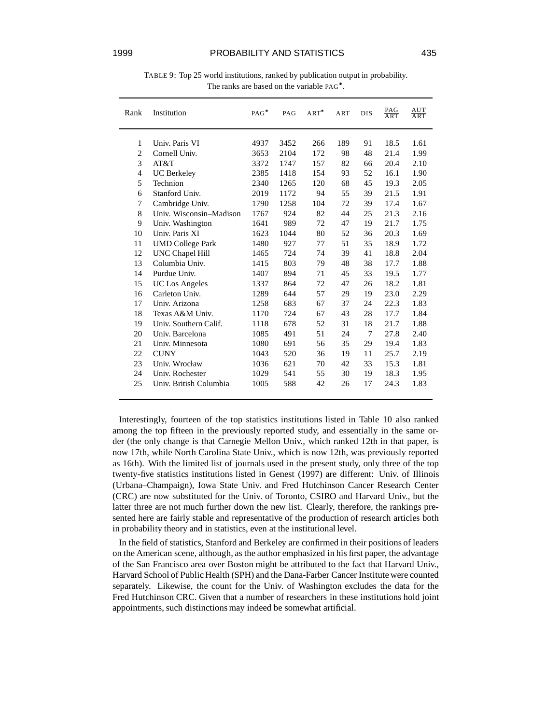| $\mathbf{1}$<br>Univ. Paris VI<br>4937<br>3452<br>266<br>189<br>91<br>18.5<br>172<br>$\overline{c}$<br>Cornell Univ.<br>2104<br>98<br>48<br>21.4<br>3653<br>3<br>AT&T<br>157<br>82<br>20.4<br>3372<br>1747<br>66<br><b>UC</b> Berkeley<br>1418<br>154<br>93<br>52<br>16.1<br>4<br>2385<br>5<br>Technion<br>2340<br>120<br>68<br>45<br>19.3<br>1265<br>6<br>Stanford Univ.<br>2019<br>1172<br>94<br>55<br>39<br>21.5<br>Cambridge Univ.<br>104<br>39<br>7<br>1790<br>1258<br>72<br>17.4<br>8<br>924<br>82<br>44<br>25<br>21.3<br>Univ. Wisconsin–Madison<br>1767<br>9<br>989<br>72<br>47<br>19<br>21.7<br>Univ. Washington<br>1641<br>80<br>10<br>Univ. Paris XI<br>1044<br>52<br>36<br>20.3<br>1623<br>927<br>18.9<br>11<br><b>UMD College Park</b><br>1480<br>77<br>51<br>35<br>12<br>724<br>74<br>39<br>41<br>18.8<br><b>UNC Chapel Hill</b><br>1465<br>13<br>Columbia Univ.<br>803<br>79<br>48<br>38<br>1415<br>17.7<br>14<br>894<br>71<br>45<br>33<br>1407<br>19.5<br>Purdue Univ.<br>15<br>72<br>18.2<br><b>UC</b> Los Angeles<br>1337<br>864<br>47<br>26<br>16<br>644<br>57<br>29<br>19<br>23.0<br>Carleton Univ.<br>1289 | Rank | Institution   | $PAG^*$ | PAG | $ART^*$ | ART | <b>DIS</b> | <b>PAG</b><br>ART | <b>AUT</b><br>ART |
|---------------------------------------------------------------------------------------------------------------------------------------------------------------------------------------------------------------------------------------------------------------------------------------------------------------------------------------------------------------------------------------------------------------------------------------------------------------------------------------------------------------------------------------------------------------------------------------------------------------------------------------------------------------------------------------------------------------------------------------------------------------------------------------------------------------------------------------------------------------------------------------------------------------------------------------------------------------------------------------------------------------------------------------------------------------------------------------------------------------------------------|------|---------------|---------|-----|---------|-----|------------|-------------------|-------------------|
|                                                                                                                                                                                                                                                                                                                                                                                                                                                                                                                                                                                                                                                                                                                                                                                                                                                                                                                                                                                                                                                                                                                                 |      |               |         |     |         |     |            |                   | 1.61              |
|                                                                                                                                                                                                                                                                                                                                                                                                                                                                                                                                                                                                                                                                                                                                                                                                                                                                                                                                                                                                                                                                                                                                 |      |               |         |     |         |     |            |                   | 1.99              |
|                                                                                                                                                                                                                                                                                                                                                                                                                                                                                                                                                                                                                                                                                                                                                                                                                                                                                                                                                                                                                                                                                                                                 |      |               |         |     |         |     |            |                   | 2.10              |
|                                                                                                                                                                                                                                                                                                                                                                                                                                                                                                                                                                                                                                                                                                                                                                                                                                                                                                                                                                                                                                                                                                                                 |      |               |         |     |         |     |            |                   | 1.90              |
|                                                                                                                                                                                                                                                                                                                                                                                                                                                                                                                                                                                                                                                                                                                                                                                                                                                                                                                                                                                                                                                                                                                                 |      |               |         |     |         |     |            |                   | 2.05              |
|                                                                                                                                                                                                                                                                                                                                                                                                                                                                                                                                                                                                                                                                                                                                                                                                                                                                                                                                                                                                                                                                                                                                 |      |               |         |     |         |     |            |                   | 1.91              |
|                                                                                                                                                                                                                                                                                                                                                                                                                                                                                                                                                                                                                                                                                                                                                                                                                                                                                                                                                                                                                                                                                                                                 |      |               |         |     |         |     |            |                   | 1.67              |
|                                                                                                                                                                                                                                                                                                                                                                                                                                                                                                                                                                                                                                                                                                                                                                                                                                                                                                                                                                                                                                                                                                                                 |      |               |         |     |         |     |            |                   | 2.16              |
|                                                                                                                                                                                                                                                                                                                                                                                                                                                                                                                                                                                                                                                                                                                                                                                                                                                                                                                                                                                                                                                                                                                                 |      |               |         |     |         |     |            |                   | 1.75              |
|                                                                                                                                                                                                                                                                                                                                                                                                                                                                                                                                                                                                                                                                                                                                                                                                                                                                                                                                                                                                                                                                                                                                 |      |               |         |     |         |     |            |                   | 1.69              |
|                                                                                                                                                                                                                                                                                                                                                                                                                                                                                                                                                                                                                                                                                                                                                                                                                                                                                                                                                                                                                                                                                                                                 |      |               |         |     |         |     |            |                   | 1.72              |
|                                                                                                                                                                                                                                                                                                                                                                                                                                                                                                                                                                                                                                                                                                                                                                                                                                                                                                                                                                                                                                                                                                                                 |      |               |         |     |         |     |            |                   | 2.04              |
|                                                                                                                                                                                                                                                                                                                                                                                                                                                                                                                                                                                                                                                                                                                                                                                                                                                                                                                                                                                                                                                                                                                                 |      |               |         |     |         |     |            |                   | 1.88              |
|                                                                                                                                                                                                                                                                                                                                                                                                                                                                                                                                                                                                                                                                                                                                                                                                                                                                                                                                                                                                                                                                                                                                 |      |               |         |     |         |     |            |                   | 1.77              |
|                                                                                                                                                                                                                                                                                                                                                                                                                                                                                                                                                                                                                                                                                                                                                                                                                                                                                                                                                                                                                                                                                                                                 |      |               |         |     |         |     |            |                   | 1.81              |
|                                                                                                                                                                                                                                                                                                                                                                                                                                                                                                                                                                                                                                                                                                                                                                                                                                                                                                                                                                                                                                                                                                                                 |      |               |         |     |         |     |            |                   | 2.29              |
|                                                                                                                                                                                                                                                                                                                                                                                                                                                                                                                                                                                                                                                                                                                                                                                                                                                                                                                                                                                                                                                                                                                                 | 17   | Univ. Arizona | 1258    | 683 | 67      | 37  | 24         | 22.3              | 1.83              |
| 18<br>724<br>28<br>Texas A&M Univ.<br>1170<br>67<br>43<br>17.7                                                                                                                                                                                                                                                                                                                                                                                                                                                                                                                                                                                                                                                                                                                                                                                                                                                                                                                                                                                                                                                                  |      |               |         |     |         |     |            |                   | 1.84              |
| 678<br>19<br>Univ. Southern Calif.<br>52<br>31<br>18<br>21.7<br>1118                                                                                                                                                                                                                                                                                                                                                                                                                                                                                                                                                                                                                                                                                                                                                                                                                                                                                                                                                                                                                                                            |      |               |         |     |         |     |            |                   | 1.88              |
| 491<br>51<br>24<br>$\tau$<br>20<br>Univ. Barcelona<br>27.8<br>1085                                                                                                                                                                                                                                                                                                                                                                                                                                                                                                                                                                                                                                                                                                                                                                                                                                                                                                                                                                                                                                                              |      |               |         |     |         |     |            |                   | 2.40              |
| 691<br>21<br>Univ. Minnesota<br>1080<br>56<br>35<br>29<br>19.4                                                                                                                                                                                                                                                                                                                                                                                                                                                                                                                                                                                                                                                                                                                                                                                                                                                                                                                                                                                                                                                                  |      |               |         |     |         |     |            |                   | 1.83              |
| 22<br><b>CUNY</b><br>520<br>36<br>19<br>11<br>25.7<br>1043                                                                                                                                                                                                                                                                                                                                                                                                                                                                                                                                                                                                                                                                                                                                                                                                                                                                                                                                                                                                                                                                      |      |               |         |     |         |     |            |                   | 2.19              |
| 23<br>Univ. Wrocław<br>1036<br>621<br>70<br>42<br>33<br>15.3                                                                                                                                                                                                                                                                                                                                                                                                                                                                                                                                                                                                                                                                                                                                                                                                                                                                                                                                                                                                                                                                    |      |               |         |     |         |     |            |                   | 1.81              |
| 24<br>Univ. Rochester<br>541<br>55<br>30<br>19<br>18.3<br>1029                                                                                                                                                                                                                                                                                                                                                                                                                                                                                                                                                                                                                                                                                                                                                                                                                                                                                                                                                                                                                                                                  |      |               |         |     |         |     |            |                   | 1.95              |
| 25<br>588<br>42<br>26<br>17<br>Univ. British Columbia<br>1005<br>24.3                                                                                                                                                                                                                                                                                                                                                                                                                                                                                                                                                                                                                                                                                                                                                                                                                                                                                                                                                                                                                                                           |      |               |         |     |         |     |            |                   | 1.83              |

TABLE 9: Top 25 world institutions, ranked by publication output in probability. The ranks are based on the variable PAG<sup>\*</sup>.

Interestingly, fourteen of the top statistics institutions listed in Table 10 also ranked among the top fifteen in the previously reported study, and essentially in the same order (the only change is that Carnegie Mellon Univ., which ranked 12th in that paper, is now 17th, while North Carolina State Univ., which is now 12th, was previously reported as 16th). With the limited list of journals used in the present study, only three of the top twenty-five statistics institutions listed in Genest (1997) are different: Univ. of Illinois (Urbana–Champaign), Iowa State Univ. and Fred Hutchinson Cancer Research Center (CRC) are now substituted for the Univ. of Toronto, CSIRO and Harvard Univ., but the latter three are not much further down the new list. Clearly, therefore, the rankings presented here are fairly stable and representative of the production of research articles both in probability theory and in statistics, even at the institutional level.

In the field of statistics, Stanford and Berkeley are confirmed in their positions of leaders on the American scene, although, as the author emphasized in his first paper, the advantage of the San Francisco area over Boston might be attributed to the fact that Harvard Univ., Harvard School of Public Health (SPH) and the Dana-Farber Cancer Institute were counted separately. Likewise, the count for the Univ. of Washington excludes the data for the Fred Hutchinson CRC. Given that a number of researchers in these institutions hold joint appointments, such distinctions may indeed be somewhat artificial.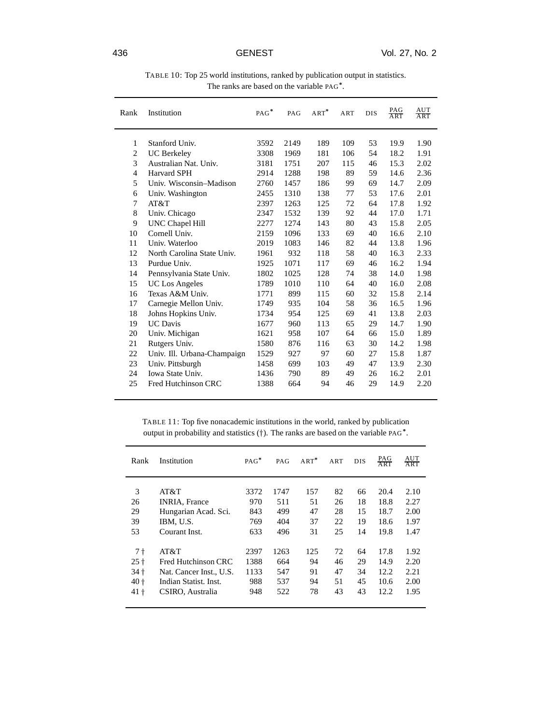| Rank           | Institution                 | $PAG^*$ | PAG  | $ART^*$ | ART | <b>DIS</b> | PAG<br>ART | AUT<br>ART |
|----------------|-----------------------------|---------|------|---------|-----|------------|------------|------------|
|                |                             |         |      |         |     |            |            |            |
| 1              | Stanford Univ.              | 3592    | 2149 | 189     | 109 | 53         | 19.9       | 1.90       |
| $\overline{c}$ | <b>UC</b> Berkeley          | 3308    | 1969 | 181     | 106 | 54         | 18.2       | 1.91       |
| 3              | Australian Nat. Univ.       | 3181    | 1751 | 207     | 115 | 46         | 15.3       | 2.02       |
| $\overline{4}$ | Harvard SPH                 | 2914    | 1288 | 198     | 89  | 59         | 14.6       | 2.36       |
| 5              | Univ. Wisconsin–Madison     | 2760    | 1457 | 186     | 99  | 69         | 14.7       | 2.09       |
| 6              | Univ. Washington            | 2455    | 1310 | 138     | 77  | 53         | 17.6       | 2.01       |
| 7              | AT&T                        | 2397    | 1263 | 125     | 72  | 64         | 17.8       | 1.92       |
| 8              | Univ. Chicago               | 2347    | 1532 | 139     | 92  | 44         | 17.0       | 1.71       |
| 9              | <b>UNC Chapel Hill</b>      | 2277    | 1274 | 143     | 80  | 43         | 15.8       | 2.05       |
| 10             | Cornell Univ.               | 2159    | 1096 | 133     | 69  | 40         | 16.6       | 2.10       |
| 11             | Univ. Waterloo              | 2019    | 1083 | 146     | 82  | 44         | 13.8       | 1.96       |
| 12             | North Carolina State Univ.  | 1961    | 932  | 118     | 58  | 40         | 16.3       | 2.33       |
| 13             | Purdue Univ.                | 1925    | 1071 | 117     | 69  | 46         | 16.2       | 1.94       |
| 14             | Pennsylvania State Univ.    | 1802    | 1025 | 128     | 74  | 38         | 14.0       | 1.98       |
| 15             | <b>UC</b> Los Angeles       | 1789    | 1010 | 110     | 64  | 40         | 16.0       | 2.08       |
| 16             | Texas A&M Univ.             | 1771    | 899  | 115     | 60  | 32         | 15.8       | 2.14       |
| 17             | Carnegie Mellon Univ.       | 1749    | 935  | 104     | 58  | 36         | 16.5       | 1.96       |
| 18             | Johns Hopkins Univ.         | 1734    | 954  | 125     | 69  | 41         | 13.8       | 2.03       |
| 19             | <b>UC</b> Davis             | 1677    | 960  | 113     | 65  | 29         | 14.7       | 1.90       |
| 20             | Univ. Michigan              | 1621    | 958  | 107     | 64  | 66         | 15.0       | 1.89       |
| 21             | Rutgers Univ.               | 1580    | 876  | 116     | 63  | 30         | 14.2       | 1.98       |
| 22             | Univ. Ill. Urbana-Champaign | 1529    | 927  | 97      | 60  | 27         | 15.8       | 1.87       |
| 23             | Univ. Pittsburgh            | 1458    | 699  | 103     | 49  | 47         | 13.9       | 2.30       |
| 24             | <b>Iowa State Univ.</b>     | 1436    | 790  | 89      | 49  | 26         | 16.2       | 2.01       |
| 25             | <b>Fred Hutchinson CRC</b>  | 1388    | 664  | 94      | 46  | 29         | 14.9       | 2.20       |

TABLE 10: Top 25 world institutions, ranked by publication output in statistics. The ranks are based on the variable PAG<sup>\*</sup>.

TABLE 11: Top five nonacademic institutions in the world, ranked by publication output in probability and statistics  $(\dagger)$ . The ranks are based on the variable PAG<sup>\*</sup>.

| Rank            | Institution             | $PAG^*$ | PAG  | $ART^*$ | ART | <b>DIS</b> | PAG<br>ART | AUT<br>ART |
|-----------------|-------------------------|---------|------|---------|-----|------------|------------|------------|
| 3               | AT&T                    | 3372    | 1747 | 157     | 82  | 66         | 20.4       | 2.10       |
| 26              | <b>INRIA</b> , France   | 970     | 511  | 51      | 26  | 18         | 18.8       | 2.27       |
| 29              | Hungarian Acad. Sci.    | 843     | 499  | 47      | 28  | 15         | 18.7       | 2.00       |
| 39              | IBM, U.S.               | 769     | 404  | 37      | 22  | 19         | 18.6       | 1.97       |
| 53              | Courant Inst.           | 633     | 496  | 31      | 25  | 14         | 19.8       | 1.47       |
|                 |                         |         |      |         |     |            |            |            |
| 7†              | AT&T                    | 2397    | 1263 | 125     | 72  | 64         | 17.8       | 1.92       |
| $25+$           | Fred Hutchinson CRC     | 1388    | 664  | 94      | 46  | 29         | 14.9       | 2.20       |
| 34 <sub>†</sub> | Nat. Cancer Inst., U.S. | 1133    | 547  | 91      | 47  | 34         | 12.2       | 2.21       |
| $40+$           | Indian Statist. Inst.   | 988     | 537  | 94      | 51  | 45         | 10.6       | 2.00       |
| 41 †            | CSIRO, Australia        | 948     | 522  | 78      | 43  | 43         | 12.2       | 1.95       |
|                 |                         |         |      |         |     |            |            |            |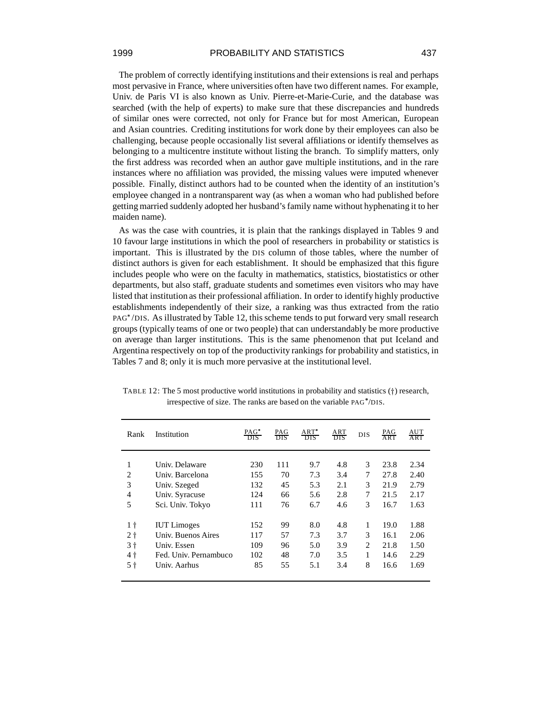The problem of correctly identifying institutions and their extensions is real and perhaps most pervasive in France, where universities often have two different names. For example, Univ. de Paris VI is also known as Univ. Pierre-et-Marie-Curie, and the database was searched (with the help of experts) to make sure that these discrepancies and hundreds of similar ones were corrected, not only for France but for most American, European and Asian countries. Crediting institutions for work done by their employees can also be challenging, because people occasionally list several affiliations or identify themselves as belonging to a multicentre institute without listing the branch. To simplify matters, only the first address was recorded when an author gave multiple institutions, and in the rare instances where no affiliation was provided, the missing values were imputed whenever possible. Finally, distinct authors had to be counted when the identity of an institution's employee changed in a nontransparent way (as when a woman who had published before getting married suddenly adopted her husband's family name without hyphenating it to her maiden name).

As was the case with countries, it is plain that the rankings displayed in Tables 9 and 10 favour large institutions in which the pool of researchers in probability or statistics is important. This is illustrated by the DIS column of those tables, where the number of distinct authors is given for each establishment. It should be emphasized that this figure includes people who were on the faculty in mathematics, statistics, biostatistics or other departments, but also staff, graduate students and sometimes even visitors who may have listed that institution as their professional affiliation. In order to identify highly productive establishments independently of their size, a ranking was thus extracted from the ratio PAG<sup>\*</sup>/DIS. As illustrated by Table 12, this scheme tends to put forward very small research groups (typically teams of one or two people) that can understandably be more productive on average than larger institutions. This is the same phenomenon that put Iceland and Argentina respectively on top of the productivity rankings for probability and statistics, in Tables 7 and 8; only it is much more pervasive at the institutional level.

| Rank            | Institution           | PAG*<br>DIS. | PAG<br><b>DIS</b> | ART*<br>DIS- | ART<br>DIS | DIS            | PAG<br>ART | AUT<br>ART |
|-----------------|-----------------------|--------------|-------------------|--------------|------------|----------------|------------|------------|
|                 |                       |              |                   |              |            |                |            |            |
| 1               | Univ. Delaware        | 230          | 111               | 9.7          | 4.8        | 3              | 23.8       | 2.34       |
| 2               | Univ. Barcelona       | 155          | 70                | 7.3          | 3.4        | 7              | 27.8       | 2.40       |
| 3               | Univ. Szeged          | 132          | 45                | 5.3          | 2.1        | 3              | 21.9       | 2.79       |
| $\overline{4}$  | Univ. Syracuse        | 124          | 66                | 5.6          | 2.8        | 7              | 21.5       | 2.17       |
| 5               | Sci. Univ. Tokyo      | 111          | 76                | 6.7          | 4.6        | 3              | 16.7       | 1.63       |
| $\ddagger$<br>1 | <b>IUT</b> Limoges    | 152          | 99                | 8.0          | 4.8        | 1              | 19.0       | 1.88       |
| $2+$            | Univ. Buenos Aires    | 117          | 57                | 7.3          | 3.7        | 3              | 16.1       | 2.06       |
| ÷<br>3          | Univ. Essen           | 109          | 96                | 5.0          | 3.9        | $\overline{c}$ | 21.8       | 1.50       |
| t<br>4          | Fed. Univ. Pernambuco | 102          | 48                | 7.0          | 3.5        | 1              | 14.6       | 2.29       |
| t<br>5          | Univ. Aarhus          | 85           | 55                | 5.1          | 3.4        | 8              | 16.6       | 1.69       |
|                 |                       |              |                   |              |            |                |            |            |

TABLE 12: The 5 most productive world institutions in probability and statistics (†) research, irrespective of size. The ranks are based on the variable PAG<sup>\*</sup>/DIS.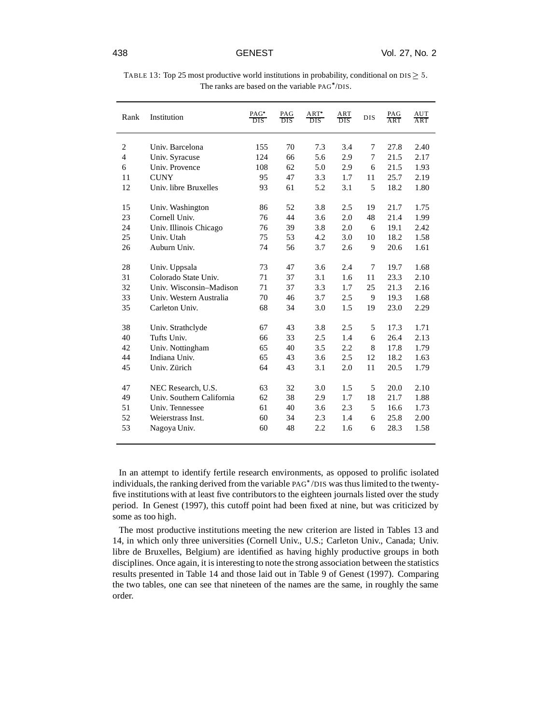| Rank           | Institution               | $rac{PAG^*}{DIS}$ | $rac{\text{PAG}}{\text{DIS}}$ | $\frac{ART^*}{DIS}$ | $\frac{\text{ART}}{\text{DIS}}$ | <b>DIS</b> | $\frac{\text{PAG}}{\text{ART}}$ | $\frac{\text{AUT}}{\text{ART}}$ |
|----------------|---------------------------|-------------------|-------------------------------|---------------------|---------------------------------|------------|---------------------------------|---------------------------------|
| 2              | Univ. Barcelona           | 155               | 70                            | 7.3                 | 3.4                             | 7          | 27.8                            | 2.40                            |
| $\overline{4}$ | Univ. Syracuse            | 124               | 66                            | 5.6                 | 2.9                             | 7          | 21.5                            | 2.17                            |
| 6              | Univ. Provence            | 108               | 62                            | 5.0                 | 2.9                             | 6          | 21.5                            | 1.93                            |
| 11             | <b>CUNY</b>               | 95                | 47                            | 3.3                 | 1.7                             | 11         | 25.7                            | 2.19                            |
| 12             | Univ. libre Bruxelles     | 93                | 61                            | 5.2                 | 3.1                             | 5          | 18.2                            | 1.80                            |
|                |                           |                   |                               |                     |                                 |            |                                 |                                 |
| 15             | Univ. Washington          | 86                | 52                            | 3.8                 | 2.5                             | 19         | 21.7                            | 1.75                            |
| 23             | Cornell Univ.             | 76                | 44                            | 3.6                 | 2.0                             | 48         | 21.4                            | 1.99                            |
| 24             | Univ. Illinois Chicago    | 76                | 39                            | 3.8                 | 2.0                             | 6          | 19.1                            | 2.42                            |
| 25             | Univ. Utah                | 75                | 53                            | 4.2                 | 3.0                             | 10         | 18.2                            | 1.58                            |
| 26             | Auburn Univ.              | 74                | 56                            | 3.7                 | 2.6                             | 9          | 20.6                            | 1.61                            |
|                |                           |                   |                               |                     |                                 |            |                                 |                                 |
| 28             | Univ. Uppsala             | 73                | 47                            | 3.6                 | 2.4                             | 7          | 19.7                            | 1.68                            |
| 31             | Colorado State Univ.      | 71                | 37                            | 3.1                 | 1.6                             | 11         | 23.3                            | 2.10                            |
| 32             | Univ. Wisconsin-Madison   | 71                | 37                            | 3.3                 | 1.7                             | 25         | 21.3                            | 2.16                            |
| 33             | Univ. Western Australia   | 70                | 46                            | 3.7                 | 2.5                             | 9          | 19.3                            | 1.68                            |
| 35             | Carleton Univ.            | 68                | 34                            | 3.0                 | 1.5                             | 19         | 23.0                            | 2.29                            |
|                |                           |                   |                               |                     |                                 |            |                                 |                                 |
| 38             | Univ. Strathclyde         | 67                | 43                            | 3.8                 | 2.5                             | 5          | 17.3                            | 1.71                            |
| 40             | Tufts Univ.               | 66                | 33                            | 2.5                 | 1.4                             | 6          | 26.4                            | 2.13                            |
| 42             | Univ. Nottingham          | 65                | 40                            | 3.5                 | 2.2                             | 8          | 17.8                            | 1.79                            |
| 44             | Indiana Univ.             | 65                | 43                            | 3.6                 | 2.5                             | 12         | 18.2                            | 1.63                            |
| 45             | Univ. Zürich              | 64                | 43                            | 3.1                 | 2.0                             | 11         | 20.5                            | 1.79                            |
|                |                           |                   |                               |                     |                                 |            |                                 |                                 |
| 47             | NEC Research, U.S.        | 63                | 32                            | 3.0                 | 1.5                             | 5          | 20.0                            | 2.10                            |
| 49             | Univ. Southern California | 62                | 38                            | 2.9                 | 1.7                             | 18         | 21.7                            | 1.88                            |
| 51             | Univ. Tennessee           | 61                | 40                            | 3.6                 | 2.3                             | 5          | 16.6                            | 1.73                            |
| 52             | Weierstrass Inst.         | 60                | 34                            | 2.3                 | 1.4                             | 6          | 25.8                            | 2.00                            |
| 53             | Nagoya Univ.              | 60                | 48                            | 2.2                 | 1.6                             | 6          | 28.3                            | 1.58                            |
|                |                           |                   |                               |                     |                                 |            |                                 |                                 |

TABLE 13: Top 25 most productive world institutions in probability, conditional on DIS  $\geq 5$ . The ranks are based on the variable PAG<sup>\*</sup>/DIS.

In an attempt to identify fertile research environments, as opposed to prolific isolated individuals, the ranking derived from the variable PAG\*/DIS was thus limited to the twentyfive institutions with at least five contributors to the eighteen journals listed over the study period. In Genest (1997), this cutoff point had been fixed at nine, but was criticized by some as too high.

The most productive institutions meeting the new criterion are listed in Tables 13 and 14, in which only three universities (Cornell Univ., U.S.; Carleton Univ., Canada; Univ. libre de Bruxelles, Belgium) are identified as having highly productive groups in both disciplines. Once again, it is interesting to note the strong association between the statistics results presented in Table 14 and those laid out in Table 9 of Genest (1997). Comparing the two tables, one can see that nineteen of the names are the same, in roughly the same order.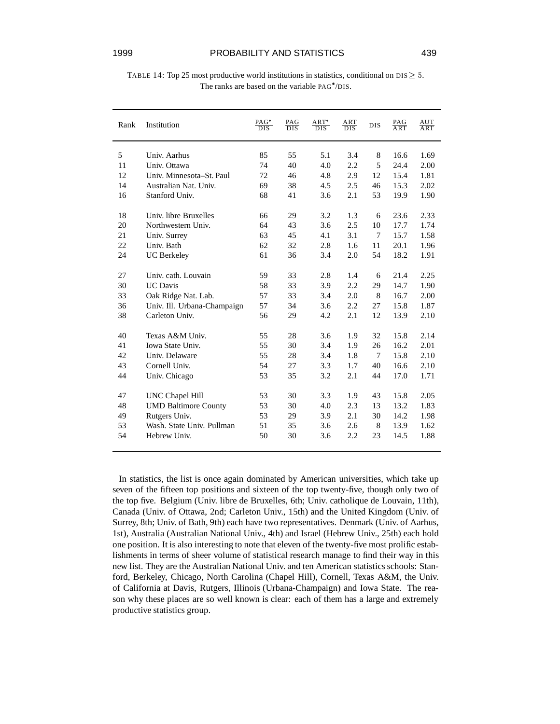| Rank | Institution                 | $PAG^*$<br>DIS | $rac{\text{PAG}}{\text{DIS}}$ | $\frac{\text{ART*}}{\text{DIS}}$ | ART<br>DIS | DIS            | PAG<br>ART | AUT<br>ART |
|------|-----------------------------|----------------|-------------------------------|----------------------------------|------------|----------------|------------|------------|
| 5    | Univ. Aarhus                | 85             | 55                            | 5.1                              | 3.4        | 8              | 16.6       | 1.69       |
| 11   | Univ. Ottawa                | 74             | 40                            | 4.0                              | 2.2        | 5              | 24.4       | 2.00       |
| 12   | Univ. Minnesota-St. Paul    | 72             | 46                            | 4.8                              | 2.9        | 12             | 15.4       | 1.81       |
| 14   | Australian Nat. Univ.       | 69             | 38                            | 4.5                              | 2.5        | 46             | 15.3       | 2.02       |
| 16   | Stanford Univ.              | 68             | 41                            | 3.6                              | 2.1        | 53             | 19.9       | 1.90       |
| 18   | Univ. libre Bruxelles       | 66             | 29                            | 3.2                              | 1.3        | 6              | 23.6       | 2.33       |
| 20   | Northwestern Univ.          | 64             | 43                            | 3.6                              | 2.5        | 10             | 17.7       | 1.74       |
| 21   | Univ. Surrey                | 63             | 45                            | 4.1                              | 3.1        | $\overline{7}$ | 15.7       | 1.58       |
| 22   | Univ. Bath                  | 62             | 32                            | 2.8                              | 1.6        | 11             | 20.1       | 1.96       |
| 24   | <b>UC</b> Berkeley          | 61             | 36                            | 3.4                              | 2.0        | 54             | 18.2       | 1.91       |
| 27   | Univ. cath. Louvain         | 59             | 33                            | 2.8                              | 1.4        | 6              | 21.4       | 2.25       |
| 30   | <b>UC</b> Davis             | 58             | 33                            | 3.9                              | 2.2        | 29             | 14.7       | 1.90       |
| 33   | Oak Ridge Nat. Lab.         | 57             | 33                            | 3.4                              | 2.0        | 8              | 16.7       | 2.00       |
| 36   | Univ. Ill. Urbana-Champaign | 57             | 34                            | 3.6                              | 2.2        | 27             | 15.8       | 1.87       |
| 38   | Carleton Univ.              | 56             | 29                            | 4.2                              | 2.1        | 12             | 13.9       | 2.10       |
| 40   | Texas A&M Univ.             | 55             | 28                            | 3.6                              | 1.9        | 32             | 15.8       | 2.14       |
| 41   | Iowa State Univ.            | 55             | 30                            | 3.4                              | 1.9        | 26             | 16.2       | 2.01       |
| 42   | Univ. Delaware              | 55             | 28                            | 3.4                              | 1.8        | $\tau$         | 15.8       | 2.10       |
| 43   | Cornell Univ.               | 54             | 27                            | 3.3                              | 1.7        | 40             | 16.6       | 2.10       |
| 44   | Univ. Chicago               | 53             | 35                            | 3.2                              | 2.1        | 44             | 17.0       | 1.71       |
| 47   | UNC Chapel Hill             | 53             | 30                            | 3.3                              | 1.9        | 43             | 15.8       | 2.05       |
| 48   | <b>UMD Baltimore County</b> | 53             | 30                            | 4.0                              | 2.3        | 13             | 13.2       | 1.83       |
| 49   | Rutgers Univ.               | 53             | 29                            | 3.9                              | 2.1        | 30             | 14.2       | 1.98       |
| 53   | Wash. State Univ. Pullman   | 51             | 35                            | 3.6                              | 2.6        | 8              | 13.9       | 1.62       |
| 54   | Hebrew Univ.                | 50             | 30                            | 3.6                              | 2.2        | 23             | 14.5       | 1.88       |

TABLE 14: Top 25 most productive world institutions in statistics, conditional on DIS  $\geq 5$ . The ranks are based on the variable PAG<sup>\*</sup>/DIS.

In statistics, the list is once again dominated by American universities, which take up seven of the fifteen top positions and sixteen of the top twenty-five, though only two of the top five. Belgium (Univ. libre de Bruxelles, 6th; Univ. catholique de Louvain, 11th), Canada (Univ. of Ottawa, 2nd; Carleton Univ., 15th) and the United Kingdom (Univ. of Surrey, 8th; Univ. of Bath, 9th) each have two representatives. Denmark (Univ. of Aarhus, 1st), Australia (Australian National Univ., 4th) and Israel (Hebrew Univ., 25th) each hold one position. It is also interesting to note that eleven of the twenty-five most prolific establishments in terms of sheer volume of statistical research manage to find their way in this new list. They are the Australian National Univ. and ten American statistics schools: Stanford, Berkeley, Chicago, North Carolina (Chapel Hill), Cornell, Texas A&M, the Univ. of California at Davis, Rutgers, Illinois (Urbana-Champaign) and Iowa State. The reason why these places are so well known is clear: each of them has a large and extremely productive statistics group.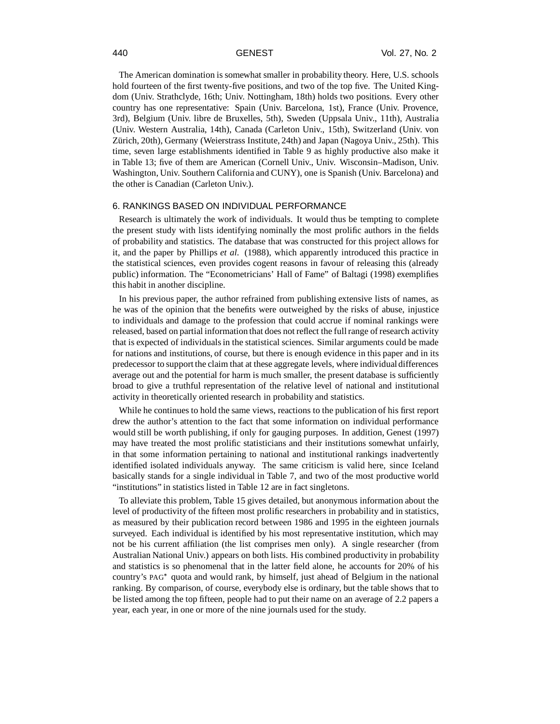The American domination is somewhat smaller in probability theory. Here, U.S. schools hold fourteen of the first twenty-five positions, and two of the top five. The United Kingdom (Univ. Strathclyde, 16th; Univ. Nottingham, 18th) holds two positions. Every other country has one representative: Spain (Univ. Barcelona, 1st), France (Univ. Provence, 3rd), Belgium (Univ. libre de Bruxelles, 5th), Sweden (Uppsala Univ., 11th), Australia (Univ. Western Australia, 14th), Canada (Carleton Univ., 15th), Switzerland (Univ. von Zürich, 20th), Germany (Weierstrass Institute, 24th) and Japan (Nagoya Univ., 25th). This time, seven large establishments identified in Table 9 as highly productive also make it in Table 13; five of them are American (Cornell Univ., Univ. Wisconsin–Madison, Univ. Washington, Univ. Southern California and CUNY), one is Spanish (Univ. Barcelona) and the other is Canadian (Carleton Univ.).

# 6. RANKINGS BASED ON INDIVIDUAL PERFORMANCE

Research is ultimately the work of individuals. It would thus be tempting to complete the present study with lists identifying nominally the most prolific authors in the fields of probability and statistics. The database that was constructed for this project allows for it, and the paper by Phillips *et al.* (1988), which apparently introduced this practice in the statistical sciences, even provides cogent reasons in favour of releasing this (already public) information. The "Econometricians' Hall of Fame" of Baltagi (1998) exemplifies this habit in another discipline.

In his previous paper, the author refrained from publishing extensive lists of names, as he was of the opinion that the benefits were outweighed by the risks of abuse, injustice to individuals and damage to the profession that could accrue if nominal rankings were released, based on partial information that does not reflect the fullrange of research activity that is expected of individualsin the statistical sciences. Similar arguments could be made for nations and institutions, of course, but there is enough evidence in this paper and in its predecessor to support the claim that at these aggregate levels, where individualdifferences average out and the potential for harm is much smaller, the present database is sufficiently broad to give a truthful representation of the relative level of national and institutional activity in theoretically oriented research in probability and statistics.

While he continues to hold the same views, reactions to the publication of his first report drew the author's attention to the fact that some information on individual performance would still be worth publishing, if only for gauging purposes. In addition, Genest (1997) may have treated the most prolific statisticians and their institutions somewhat unfairly, in that some information pertaining to national and institutional rankings inadvertently identified isolated individuals anyway. The same criticism is valid here, since Iceland basically stands for a single individual in Table 7, and two of the most productive world "institutions" in statistics listed in Table 12 are in fact singletons.

To alleviate this problem, Table 15 gives detailed, but anonymous information about the level of productivity of the fifteen most prolific researchers in probability and in statistics, as measured by their publication record between 1986 and 1995 in the eighteen journals surveyed. Each individual is identified by his most representative institution, which may not be his current affiliation (the list comprises men only). A single researcher (from Australian National Univ.) appears on both lists. His combined productivity in probability and statistics is so phenomenal that in the latter field alone, he accounts for 20% of his country's PAG\* quota and would rank, by himself, just ahead of Belgium in the national ranking. By comparison, of course, everybody else is ordinary, but the table shows that to be listed among the top fifteen, people had to put their name on an average of 2.2 papers a year, each year, in one or more of the nine journals used for the study.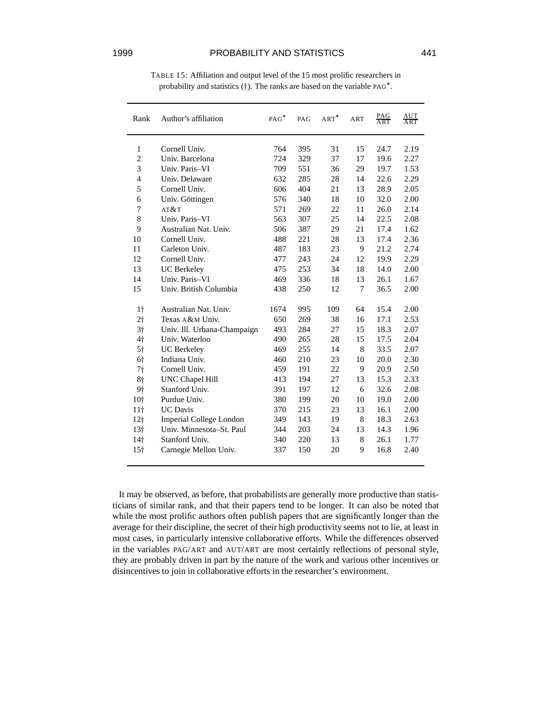| Rank            | Author's affiliation        | $PAG^*$ | PAG | $ART^*$ | ART         | PAG<br>ART | AUT<br>ART |
|-----------------|-----------------------------|---------|-----|---------|-------------|------------|------------|
| 1               | Cornell Univ.               | 764     | 395 | 31      | 15          | 24.7       | 2.19       |
| $\overline{c}$  | Univ. Barcelona             | 724     | 329 | 37      | 17          | 19.6       | 2.27       |
| 3               | Univ. Paris-VI              | 709     | 551 | 36      | 29          | 19.7       | 1.53       |
| $\overline{4}$  | Univ. Delaware              | 632     | 285 | 28      | 14          | 22.6       | 2.29       |
| 5               | Cornell Univ.               | 606     | 404 | 21      | 13          | 28.9       | 2.05       |
| 6               | Univ. Göttingen             | 576     | 340 | 18      | 10          | 32.0       | 2.00       |
| 7               | AT&T                        | 571     | 269 | 22      | 11          | 26.0       | 2.14       |
| 8               | Univ. Paris-VI              | 563     | 307 | 25      | 14          | 22.5       | 2.08       |
| 9               | Australian Nat. Univ.       | 506     | 387 | 29      | 21          | 17.4       | 1.62       |
| 10              | Cornell Univ.               | 488     | 221 | 28      | 13          | 17.4       | 2.36       |
| 11              | Carleton Univ.              | 487     | 183 | 23      | 9           | 21.2       | 2.74       |
| 12              | Cornell Univ.               | 477     | 243 | 24      | 12          | 19.9       | 2.29       |
| 13              | <b>UC</b> Berkeley          | 475     | 253 | 34      | 18          | 14.0       | 2.00       |
| 14              | Univ. Paris-VI              | 469     | 336 | 18      | 13          | 26.1       | 1.67       |
| 15              | Univ. British Columbia      | 438     | 250 | 12      | 7           | 36.5       | 2.00       |
| $1\dagger$      | Australian Nat. Univ.       | 1674    | 995 | 109     | 64          | 15.4       | 2.00       |
| 2 <sub>1</sub>  | Texas A&M Univ.             | 650     | 269 | 38      | 16          | 17.1       | 2.53       |
| 3 <sub>1</sub>  | Univ. Ill. Urbana-Champaign | 493     | 284 | 27      | 15          | 18.3       | 2.07       |
| 4†              | Univ. Waterloo              | 490     | 265 | 28      | 15          | 17.5       | 2.04       |
| 5 <sup>†</sup>  | <b>UC</b> Berkeley          | 469     | 255 | 14      | 8           | 33.5       | 2.07       |
| 6†              | Indiana Univ.               | 460     | 210 | 23      | 10          | 20.0       | 2.30       |
| 7†              | Cornell Univ.               | 459     | 191 | 22      | 9           | 20.9       | 2.50       |
| 8 <sup>†</sup>  | <b>UNC Chapel Hill</b>      | 413     | 194 | 27      | 13          | 15.3       | 2.33       |
| 9†              | Stanford Univ.              | 391     | 197 | 12      | 6           | 32.6       | 2.08       |
| 10 <sub>1</sub> | Purdue Univ.                | 380     | 199 | 20      | 10          | 19.0       | 2.00       |
| 11 <sup>†</sup> | <b>UC</b> Davis             | 370     | 215 | 23      | 13          | 16.1       | 2.00       |
| 12 <sub>1</sub> | Imperial College London     | 349     | 143 | 19      | $\,$ 8 $\,$ | 18.3       | 2.63       |
| 13 <sup>†</sup> | Univ. Minnesota-St. Paul    | 344     | 203 | 24      | 13          | 14.3       | 1.96       |
| 14†             | Stanford Univ.              | 340     | 220 | 13      | 8           | 26.1       | 1.77       |
| 15 <sup>†</sup> | Carnegie Mellon Univ.       | 337     | 150 | 20      | 9           | 16.8       | 2.40       |

TABLE 15: Affiliation and output level of the 15 most prolific researchers in probability and statistics (†). The ranks are based on the variable PAG<sup>\*</sup>.

It may be observed, as before, that probabilists are generally more productive than statisticians of similar rank, and that their papers tend to be longer. It can also be noted that while the most prolific authors often publish papers that are significantly longer than the average for their discipline, the secret of their high productivity seems not to lie, at least in most cases, in particularly intensive collaborative efforts. While the differences observed in the variables PAG/ART and AUT/ART are most certainly reflections of personal style, they are probably driven in part by the nature of the work and various other incentives or disincentives to join in collaborative efforts in the researcher's environment.

 $\overline{a}$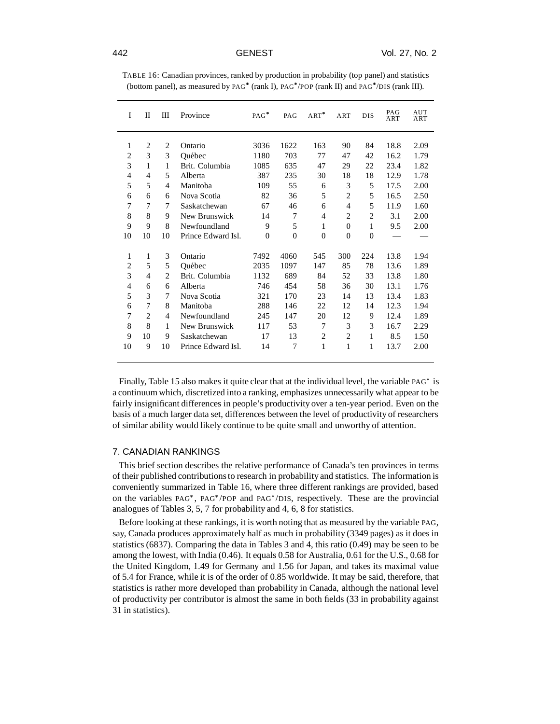| I              | П              | Ш  | Province           | $\mathsf{PAG}^*$ | PAG            | $ART^*$  | ART            | <b>DIS</b>     | PAG<br>ART | AUT<br>ART |
|----------------|----------------|----|--------------------|------------------|----------------|----------|----------------|----------------|------------|------------|
| 1              | $\overline{2}$ | 2  | Ontario            | 3036             | 1622           | 163      | 90             | 84             | 18.8       | 2.09       |
| $\overline{2}$ | 3              | 3  | Québec             | 1180             | 703            | 77       | 47             | 42             | 16.2       | 1.79       |
| 3              | 1              | 1  | Brit. Columbia     | 1085             | 635            | 47       | 29             | 22             | 23.4       | 1.82       |
| $\overline{4}$ | $\overline{4}$ | 5  | Alberta            | 387              | 235            | 30       | 18             | 18             | 12.9       | 1.78       |
| 5              | 5              | 4  | Manitoba           | 109              | 55             | 6        | 3              | 5              | 17.5       | 2.00       |
| 6              | 6              | 6  | Nova Scotia        | 82               | 36             | 5        | 2              | 5              | 16.5       | 2.50       |
| 7              | 7              | 7  | Saskatchewan       | 67               | 46             | 6        | $\overline{4}$ | 5              | 11.9       | 1.60       |
| 8              | 8              | 9  | New Brunswick      | 14               | 7              | 4        | $\overline{c}$ | $\overline{2}$ | 3.1        | 2.00       |
| 9              | 9              | 8  | Newfoundland       | 9                | 5              | 1        | $\Omega$       | 1              | 9.5        | 2.00       |
| 10             | 10             | 10 | Prince Edward Isl. | $\Omega$         | $\Omega$       | $\theta$ | $\Omega$       | $\overline{0}$ |            |            |
|                |                |    |                    |                  |                |          |                |                |            |            |
| 1              | 1              | 3  | Ontario            | 7492             | 4060           | 545      | 300            | 224            | 13.8       | 1.94       |
| $\overline{2}$ | 5              | 5  | Québec             | 2035             | 1097           | 147      | 85             | 78             | 13.6       | 1.89       |
| 3              | $\overline{4}$ | 2  | Brit. Columbia     | 1132             | 689            | 84       | 52             | 33             | 13.8       | 1.80       |
| $\overline{4}$ | 6              | 6  | Alberta            | 746              | 454            | 58       | 36             | 30             | 13.1       | 1.76       |
| 5              | 3              | 7  | Nova Scotia        | 321              | 170            | 23       | 14             | 13             | 13.4       | 1.83       |
| 6              | 7              | 8  | Manitoba           | 288              | 146            | 22       | 12             | 14             | 12.3       | 1.94       |
| 7              | $\overline{2}$ | 4  | Newfoundland       | 245              | 147            | 20       | 12             | 9              | 12.4       | 1.89       |
| 8              | 8              | 1  | New Brunswick      | 117              | 53             | 7        | 3              | 3              | 16.7       | 2.29       |
| 9              | 10             | 9  | Saskatchewan       | 17               | 13             | 2        | 2              | 1              | 8.5        | 1.50       |
| 10             | 9              | 10 | Prince Edward Isl. | 14               | $\overline{7}$ | 1        | 1              | 1              | 13.7       | 2.00       |
|                |                |    |                    |                  |                |          |                |                |            |            |

TABLE 16: Canadian provinces, ranked by production in probability (top panel) and statistics (bottom panel), as measured by  $PAG^*$  (rank I),  $PAG^*/POP$  (rank II) and  $PAG^*/DIS$  (rank III).

Finally, Table 15 also makes it quite clear that at the individual level, the variable PAG<sup>\*</sup> is a continuum which, discretized into a ranking, emphasizes unnecessarily what appear to be fairly insignificant differences in people's productivity over a ten-year period. Even on the basis of a much larger data set, differences between the level of productivity of researchers of similar ability would likely continue to be quite small and unworthy of attention.

# 7. CANADIAN RANKINGS

This brief section describes the relative performance of Canada's ten provinces in terms of their published contributionsto research in probability and statistics. The information is conveniently summarized in Table 16, where three different rankings are provided, based on the variables  $PAG^*$ ,  $PAG^* / POP$  and  $PAG^* / DIS$ , respectively. These are the provincial analogues of Tables 3, 5, 7 for probability and 4, 6, 8 for statistics.

Before looking at these rankings, it is worth noting that as measured by the variable PAG, say, Canada produces approximately half as much in probability (3349 pages) as it does in statistics (6837). Comparing the data in Tables 3 and 4, this ratio (0.49) may be seen to be among the lowest, with India (0.46). It equals 0.58 for Australia, 0.61 for the U.S., 0.68 for the United Kingdom, 1.49 for Germany and 1.56 for Japan, and takes its maximal value of 5.4 for France, while it is of the order of 0.85 worldwide. It may be said, therefore, that statistics is rather more developed than probability in Canada, although the national level of productivity per contributor is almost the same in both fields (33 in probability against 31 in statistics).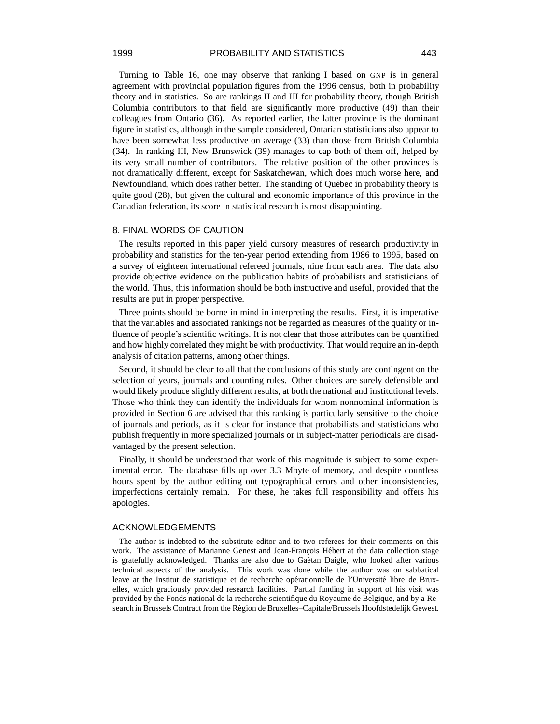Turning to Table 16, one may observe that ranking I based on GNP is in general agreement with provincial population figures from the 1996 census, both in probability theory and in statistics. So are rankings II and III for probability theory, though British Columbia contributors to that field are significantly more productive (49) than their colleagues from Ontario (36). As reported earlier, the latter province is the dominant figure in statistics, although in the sample considered, Ontarian statisticians also appear to have been somewhat less productive on average (33) than those from British Columbia (34). In ranking III, New Brunswick (39) manages to cap both of them off, helped by its very small number of contributors. The relative position of the other provinces is not dramatically different, except for Saskatchewan, which does much worse here, and Newfoundland, which does rather better. The standing of Québec in probability theory is quite good (28), but given the cultural and economic importance of this province in the Canadian federation, its score in statistical research is most disappointing.

### 8. FINAL WORDS OF CAUTION

The results reported in this paper yield cursory measures of research productivity in probability and statistics for the ten-year period extending from 1986 to 1995, based on a survey of eighteen international refereed journals, nine from each area. The data also provide objective evidence on the publication habits of probabilists and statisticians of the world. Thus, this information should be both instructive and useful, provided that the results are put in proper perspective.

Three points should be borne in mind in interpreting the results. First, it is imperative that the variables and associated rankings not be regarded as measures of the quality or influence of people's scientific writings. It is not clear that those attributes can be quantified and how highly correlated they might be with productivity. That would require an in-depth analysis of citation patterns, among other things.

Second, it should be clear to all that the conclusions of this study are contingent on the selection of years, journals and counting rules. Other choices are surely defensible and would likely produce slightly different results, at both the national and institutional levels. Those who think they can identify the individuals for whom nonnominal information is provided in Section 6 are advised that this ranking is particularly sensitive to the choice of journals and periods, as it is clear for instance that probabilists and statisticians who publish frequently in more specialized journals or in subject-matter periodicals are disadvantaged by the present selection.

Finally, it should be understood that work of this magnitude is subject to some experimental error. The database fills up over 3.3 Mbyte of memory, and despite countless hours spent by the author editing out typographical errors and other inconsistencies, imperfections certainly remain. For these, he takes full responsibility and offers his apologies.

### ACKNOWLEDGEMENTS

The author is indebted to the substitute editor and to two referees for their comments on this work. The assistance of Marianne Genest and Jean-François Hébert at the data collection stage is gratefully acknowledged. Thanks are also due to Gaétan Daigle, who looked after various technical aspects of the analysis. This work was done while the author was on sabbatical leave at the Institut de statistique et de recherche opérationnelle de l'Université libre de Bruxelles, which graciously provided research facilities. Partial funding in support of his visit was provided by the Fonds national de la recherche scientifique du Royaume de Belgique, and by a Research in Brussels Contract from the Région de Bruxelles–Capitale/Brussels Hoofdstedelijk Gewest.